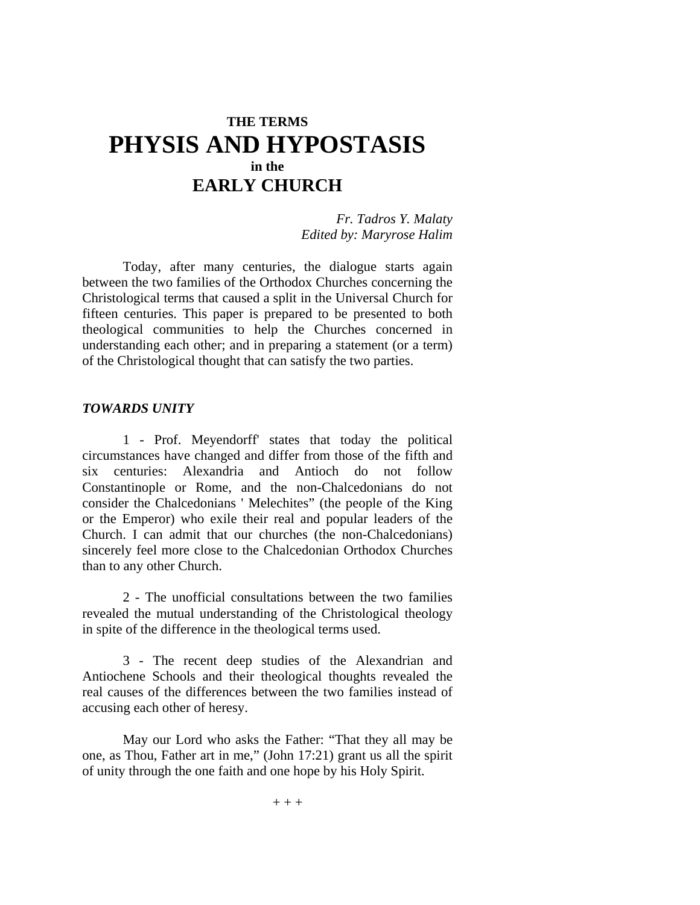# **THE TERMS PHYSIS AND HYPOSTASIS in the EARLY CHURCH**

*Fr. Tadros Y. Malaty Edited by: Maryrose Halim* 

Today, after many centuries, the dialogue starts again between the two families of the Orthodox Churches concerning the Christological terms that caused a split in the Universal Church for fifteen centuries. This paper is prepared to be presented to both theological communities to help the Churches concerned in understanding each other; and in preparing a statement (or a term) of the Christological thought that can satisfy the two parties.

#### *TOWARDS UNITY*

1 - Prof. Meyendorff' states that today the political circumstances have changed and differ from those of the fifth and six centuries: Alexandria and Antioch do not follow Constantinople or Rome, and the non-Chalcedonians do not consider the Chalcedonians ' Melechites" (the people of the King or the Emperor) who exile their real and popular leaders of the Church. I can admit that our churches (the non-Chalcedonians) sincerely feel more close to the Chalcedonian Orthodox Churches than to any other Church.

2 - The unofficial consultations between the two families revealed the mutual understanding of the Christological theology in spite of the difference in the theological terms used.

3 - The recent deep studies of the Alexandrian and Antiochene Schools and their theological thoughts revealed the real causes of the differences between the two families instead of accusing each other of heresy.

May our Lord who asks the Father: "That they all may be one, as Thou, Father art in me," (John 17:21) grant us all the spirit of unity through the one faith and one hope by his Holy Spirit.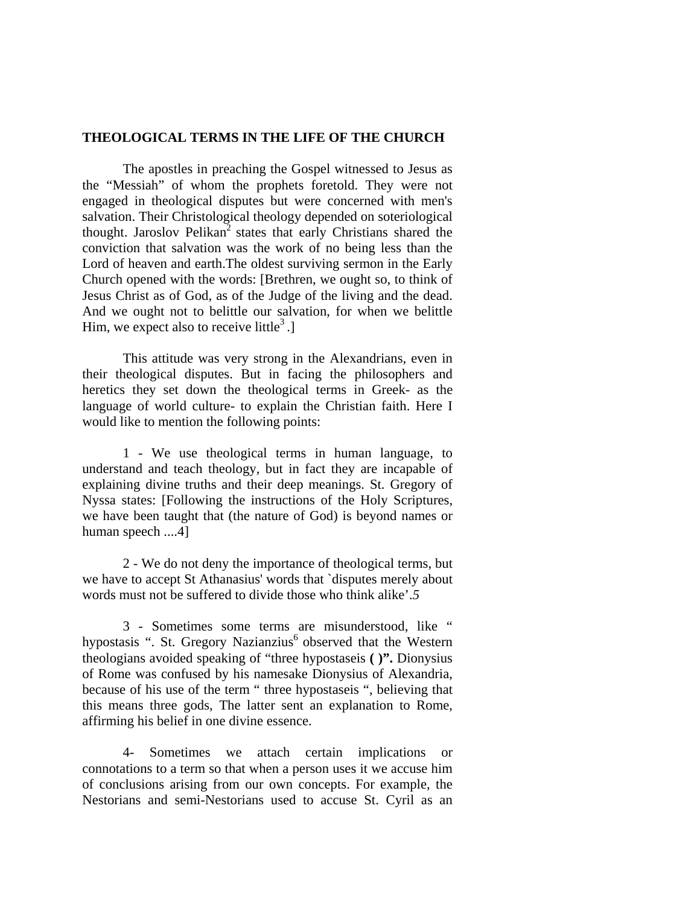### **THEOLOGICAL TERMS IN THE LIFE OF THE CHURCH**

The apostles in preaching the Gospel witnessed to Jesus as the "Messiah" of whom the prophets foretold. They were not engaged in theological disputes but were concerned with men's salvation. Their Christological theology depended on soteriological thought. Jaroslov Pelikan<sup>2</sup> states that early Christians shared the conviction that salvation was the work of no being less than the Lord of heaven and earth.The oldest surviving sermon in the Early Church opened with the words: [Brethren, we ought so, to think of Jesus Christ as of God, as of the Judge of the living and the dead. And we ought not to belittle our salvation, for when we belittle Him, we expect also to receive little<sup>3</sup>.

This attitude was very strong in the Alexandrians, even in their theological disputes. But in facing the philosophers and heretics they set down the theological terms in Greek- as the language of world culture- to explain the Christian faith. Here I would like to mention the following points:

1 - We use theological terms in human language, to understand and teach theology, but in fact they are incapable of explaining divine truths and their deep meanings. St. Gregory of Nyssa states: [Following the instructions of the Holy Scriptures, we have been taught that (the nature of God) is beyond names or human speech ....4]

2 - We do not deny the importance of theological terms, but we have to accept St Athanasius' words that `disputes merely about words must not be suffered to divide those who think alike'.*5* 

3 - Sometimes some terms are misunderstood, like " hypostasis ". St. Gregory Nazianzius<sup>6</sup> observed that the Western theologians avoided speaking of "three hypostaseis **( )".** Dionysius of Rome was confused by his namesake Dionysius of Alexandria, because of his use of the term " three hypostaseis ", believing that this means three gods, The latter sent an explanation to Rome, affirming his belief in one divine essence.

4- Sometimes we attach certain implications or connotations to a term so that when a person uses it we accuse him of conclusions arising from our own concepts. For example, the Nestorians and semi-Nestorians used to accuse St. Cyril as an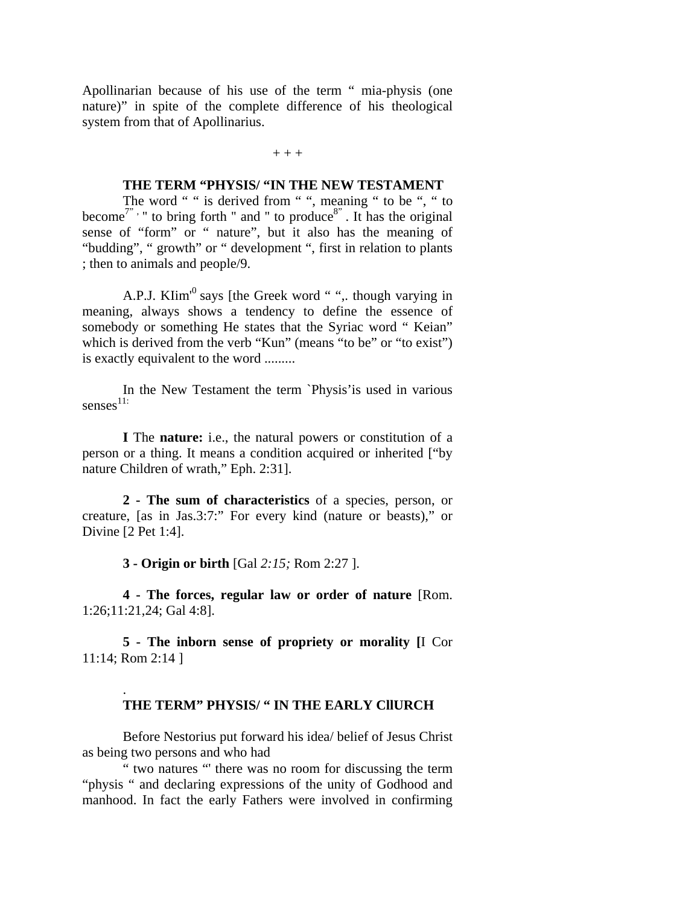Apollinarian because of his use of the term " mia-physis (one nature)" in spite of the complete difference of his theological system from that of Apollinarius.

#### $+ + +$

#### **THE TERM "PHYSIS/ "IN THE NEW TESTAMENT**

The word " " is derived from " ", meaning " to be ", " to become<sup>7"</sup> , " to bring forth " and " to produce<sup>8"</sup>. It has the original sense of "form" or " nature", but it also has the meaning of "budding", " growth" or " development ", first in relation to plants ; then to animals and people/9.

A.P.J. KIim<sup>10</sup> says [the Greek word "", though varying in meaning, always shows a tendency to define the essence of somebody or something He states that the Syriac word "Keian" which is derived from the verb "Kun" (means "to be" or "to exist") is exactly equivalent to the word .........

In the New Testament the term `Physis'is used in various  $s$ enses<sup>11:</sup>

**I** The **nature:** i.e., the natural powers or constitution of a person or a thing. It means a condition acquired or inherited ["by nature Children of wrath," Eph. 2:31].

**2 - The sum of characteristics** of a species, person, or creature, [as in Jas.3:7:" For every kind (nature or beasts)," or Divine [2 Pet 1:4].

**3 - Origin or birth** [Gal *2:15;* Rom 2:27 ].

.

**4 - The forces, regular law or order of nature** [Rom. 1:26;11:21,24; Gal 4:8].

**5 - The inborn sense of propriety or morality [**I Cor 11:14; Rom 2:14 ]

### **THE TERM" PHYSIS/ " IN THE EARLY CllURCH**

Before Nestorius put forward his idea/ belief of Jesus Christ as being two persons and who had

" two natures "' there was no room for discussing the term "physis " and declaring expressions of the unity of Godhood and manhood. In fact the early Fathers were involved in confirming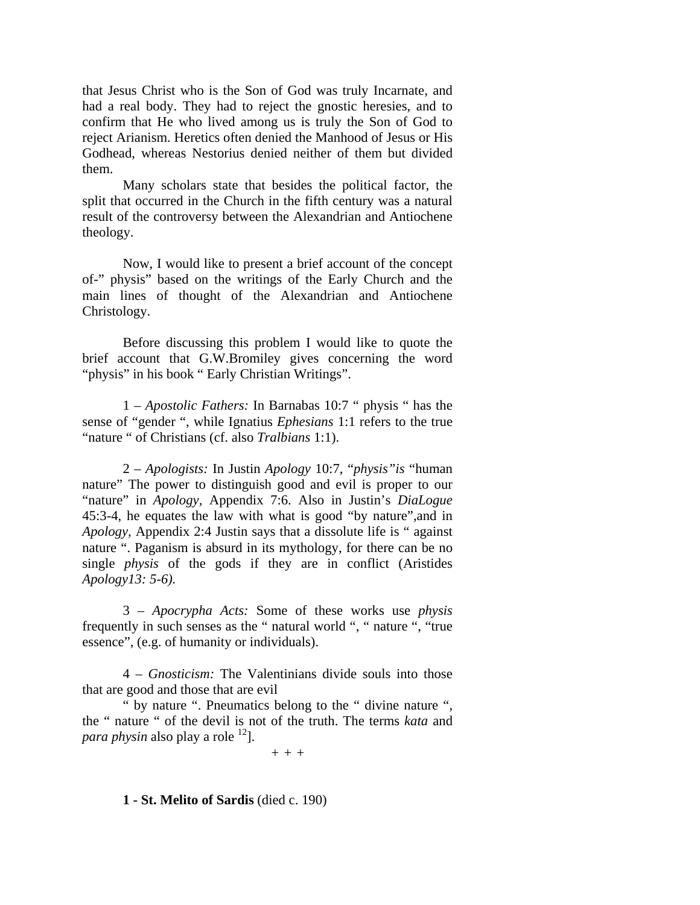that Jesus Christ who is the Son of God was truly Incarnate, and had a real body. They had to reject the gnostic heresies, and to confirm that He who lived among us is truly the Son of God to reject Arianism. Heretics often denied the Manhood of Jesus or His Godhead, whereas Nestorius denied neither of them but divided them.

Many scholars state that besides the political factor, the split that occurred in the Church in the fifth century was a natural result of the controversy between the Alexandrian and Antiochene theology.

Now, I would like to present a brief account of the concept of-" physis" based on the writings of the Early Church and the main lines of thought of the Alexandrian and Antiochene Christology.

Before discussing this problem I would like to quote the brief account that G.W.Bromiley gives concerning the word "physis" in his book " Early Christian Writings".

1 *– Apostolic Fathers:* In Barnabas 10:7 " physis " has the sense of "gender ", while Ignatius *Ephesians* 1:1 refers to the true "nature " of Christians (cf. also *Tralbians* 1:1).

2 – *Apologists:* In Justin *Apology* 10:7, "*physis"is* "human nature" The power to distinguish good and evil is proper to our "nature" in *Apology,* Appendix 7:6. Also in Justin's *DiaLogue*  45:3-4, he equates the law with what is good "by nature",and in *Apology,* Appendix 2:4 Justin says that a dissolute life is " against nature ". Paganism is absurd in its mythology, for there can be no single *physis* of the gods if they are in conflict (Aristides *Apology13: 5-6).* 

3 *– Apocrypha Acts:* Some of these works use *physis*  frequently in such senses as the " natural world ", " nature ", "true essence", (e.g. of humanity or individuals).

4 *– Gnosticism:* The Valentinians divide souls into those that are good and those that are evil

" by nature ". Pneumatics belong to the " divine nature ", the " nature " of the devil is not of the truth. The terms *kata* and *para physin* also play a role <sup>12</sup>.

*+ + +* 

#### **1 - St. Melito of Sardis** (died c. 190)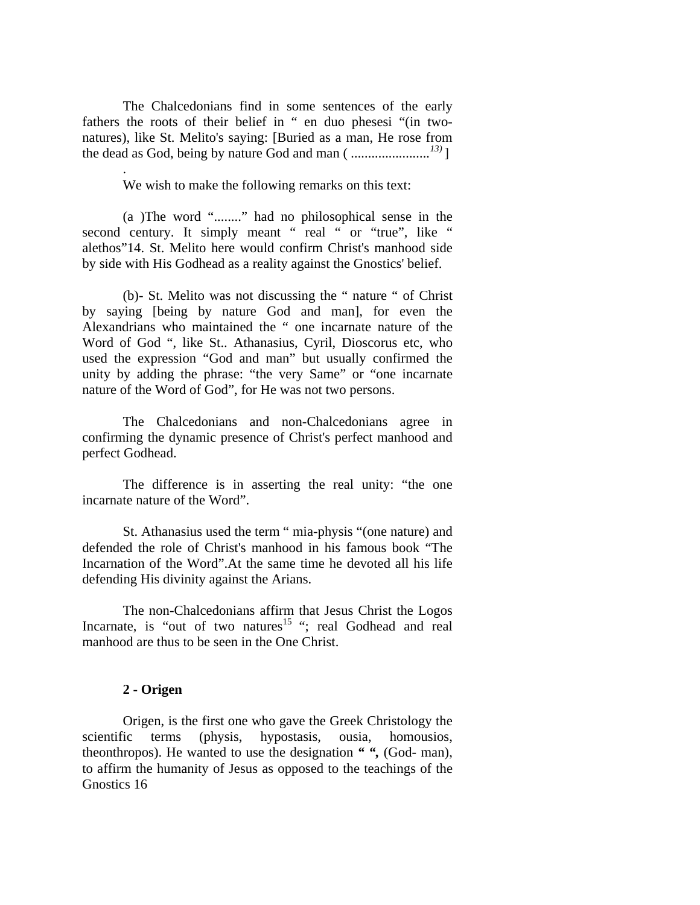The Chalcedonians find in some sentences of the early fathers the roots of their belief in " en duo phesesi "(in twonatures), like St. Melito's saying: [Buried as a man, He rose from the dead as God, being by nature God and man ( *.......................13)* ]

We wish to make the following remarks on this text:

(a )The word "........" had no philosophical sense in the second century. It simply meant " real " or "true", like " alethos"14. St. Melito here would confirm Christ's manhood side by side with His Godhead as a reality against the Gnostics' belief.

(b)- St. Melito was not discussing the " nature " of Christ by saying [being by nature God and man], for even the Alexandrians who maintained the " one incarnate nature of the Word of God ", like St.. Athanasius, Cyril, Dioscorus etc, who used the expression "God and man" but usually confirmed the unity by adding the phrase: "the very Same" or "one incarnate nature of the Word of God", for He was not two persons.

The Chalcedonians and non-Chalcedonians agree in confirming the dynamic presence of Christ's perfect manhood and perfect Godhead.

The difference is in asserting the real unity: "the one incarnate nature of the Word".

St. Athanasius used the term " mia-physis "(one nature) and defended the role of Christ's manhood in his famous book "The Incarnation of the Word".At the same time he devoted all his life defending His divinity against the Arians.

The non-Chalcedonians affirm that Jesus Christ the Logos Incarnate, is "out of two natures<sup>15</sup>"; real Godhead and real manhood are thus to be seen in the One Christ.

### **2 - Origen**

.

Origen, is the first one who gave the Greek Christology the scientific terms (physis, hypostasis, ousia, homousios, theonthropos). He wanted to use the designation *" ",* (God- man), to affirm the humanity of Jesus as opposed to the teachings of the Gnostics 16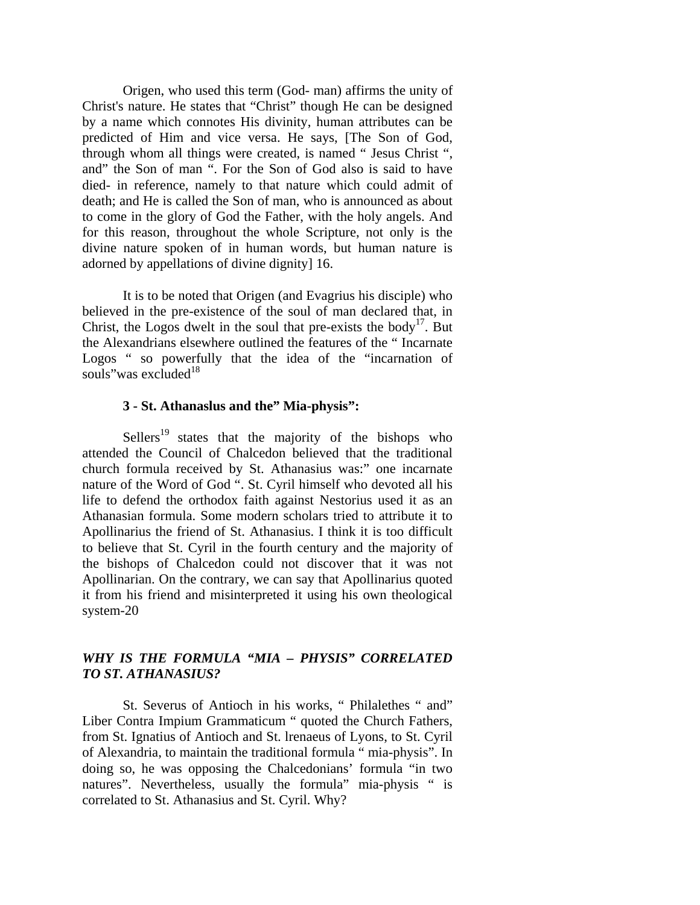Origen, who used this term (God- man) affirms the unity of Christ's nature. He states that "Christ" though He can be designed by a name which connotes His divinity, human attributes can be predicted of Him and vice versa. He says, [The Son of God, through whom all things were created, is named " Jesus Christ ", and" the Son of man ". For the Son of God also is said to have died- in reference, namely to that nature which could admit of death; and He is called the Son of man, who is announced as about to come in the glory of God the Father, with the holy angels. And for this reason, throughout the whole Scripture, not only is the divine nature spoken of in human words, but human nature is adorned by appellations of divine dignity] 16.

It is to be noted that Origen (and Evagrius his disciple) who believed in the pre-existence of the soul of man declared that, in Christ, the Logos dwelt in the soul that pre-exists the body<sup>17</sup>. But the Alexandrians elsewhere outlined the features of the " Incarnate Logos " so powerfully that the idea of the "incarnation of souls" was excluded $18$ 

#### **3 - St. Athanaslus and the" Mia-physis":**

Sellers<sup>19</sup> states that the majority of the bishops who attended the Council of Chalcedon believed that the traditional church formula received by St. Athanasius was:" one incarnate nature of the Word of God ". St. Cyril himself who devoted all his life to defend the orthodox faith against Nestorius used it as an Athanasian formula. Some modern scholars tried to attribute it to Apollinarius the friend of St. Athanasius. I think it is too difficult to believe that St. Cyril in the fourth century and the majority of the bishops of Chalcedon could not discover that it was not Apollinarian. On the contrary, we can say that Apollinarius quoted it from his friend and misinterpreted it using his own theological system-20

## *WHY IS THE FORMULA "MIA – PHYSIS" CORRELATED TO ST. ATHANASIUS?*

St. Severus of Antioch in his works, " Philalethes " and" Liber Contra Impium Grammaticum " quoted the Church Fathers, from St. Ignatius of Antioch and St. lrenaeus of Lyons, to St. Cyril of Alexandria, to maintain the traditional formula " mia-physis". In doing so, he was opposing the Chalcedonians' formula "in two natures". Nevertheless, usually the formula" mia-physis " is correlated to St. Athanasius and St. Cyril. Why?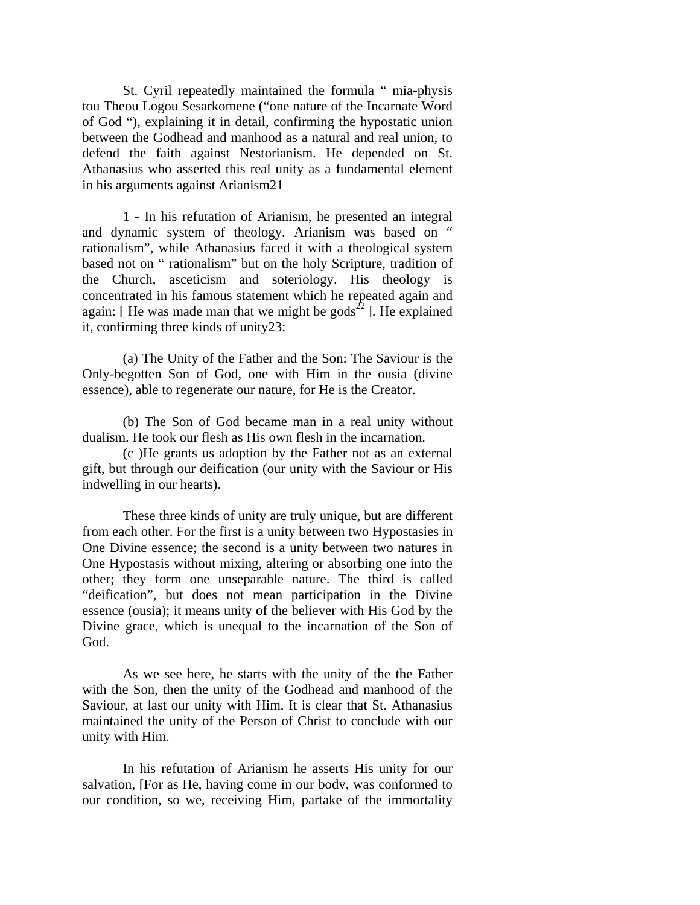St. Cyril repeatedly maintained the formula " mia-physis tou Theou Logou Sesarkomene ("one nature of the Incarnate Word of God "), explaining it in detail, confirming the hypostatic union between the Godhead and manhood as a natural and real union, to defend the faith against Nestorianism. He depended on St. Athanasius who asserted this real unity as a fundamental element in his arguments against Arianism21

1 - In his refutation of Arianism, he presented an integral and dynamic system of theology. Arianism was based on " rationalism", while Athanasius faced it with a theological system based not on " rationalism" but on the holy Scripture, tradition of the Church, asceticism and soteriology. His theology is concentrated in his famous statement which he repeated again and again: [ He was made man that we might be gods<sup>22</sup> ]. He explained it, confirming three kinds of unity23:

(a) The Unity of the Father and the Son: The Saviour is the Only-begotten Son of God, one with Him in the ousia (divine essence), able to regenerate our nature, for He is the Creator.

(b) The Son of God became man in a real unity without dualism. He took our flesh as His own flesh in the incarnation.

(c )He grants us adoption by the Father not as an external gift, but through our deification (our unity with the Saviour or His indwelling in our hearts).

These three kinds of unity are truly unique, but are different from each other. For the first is a unity between two Hypostasies in One Divine essence; the second is a unity between two natures in One Hypostasis without mixing, altering or absorbing one into the other; they form one unseparable nature. The third is called "deification", but does not mean participation in the Divine essence (ousia); it means unity of the believer with His God by the Divine grace, which is unequal to the incarnation of the Son of God.

As we see here, he starts with the unity of the the Father with the Son, then the unity of the Godhead and manhood of the Saviour, at last our unity with Him. It is clear that St. Athanasius maintained the unity of the Person of Christ to conclude with our unity with Him.

In his refutation of Arianism he asserts His unity for our salvation, [For as He, having come in our bodv, was conformed to our condition, so we, receiving Him, partake of the immortality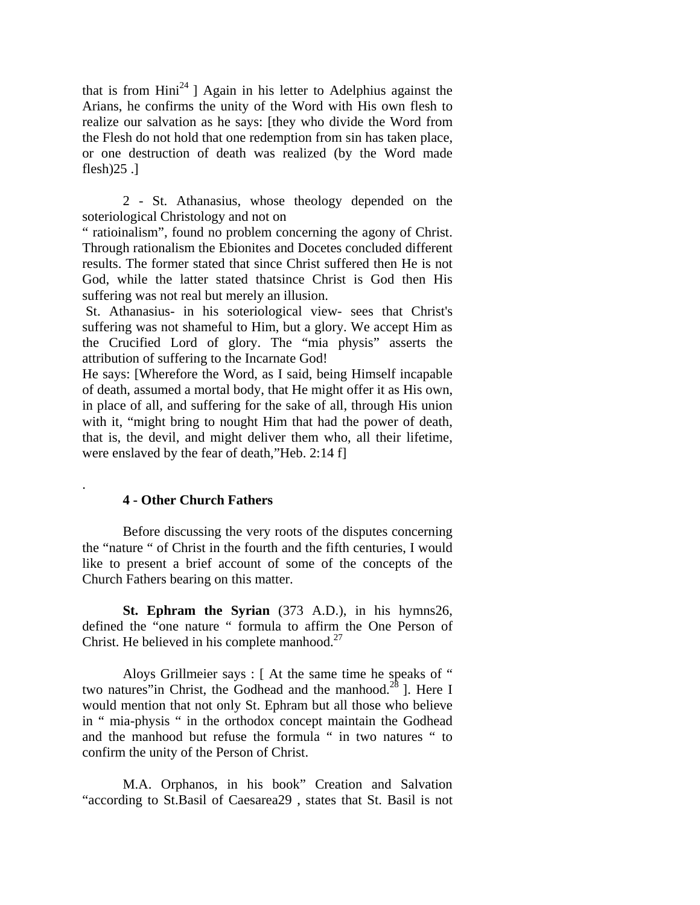that is from Hini<sup>24</sup> ] Again in his letter to Adelphius against the Arians, he confirms the unity of the Word with His own flesh to realize our salvation as he says: [they who divide the Word from the Flesh do not hold that one redemption from sin has taken place, or one destruction of death was realized (by the Word made flesh $)25$ .]

2 - St. Athanasius, whose theology depended on the soteriological Christology and not on

" ratioinalism", found no problem concerning the agony of Christ. Through rationalism the Ebionites and Docetes concluded different results. The former stated that since Christ suffered then He is not God, while the latter stated thatsince Christ is God then His suffering was not real but merely an illusion.

 St. Athanasius- in his soteriological view- sees that Christ's suffering was not shameful to Him, but a glory. We accept Him as the Crucified Lord of glory. The "mia physis" asserts the attribution of suffering to the Incarnate God!

He says: [Wherefore the Word, as I said, being Himself incapable of death, assumed a mortal body, that He might offer it as His own, in place of all, and suffering for the sake of all, through His union with it, "might bring to nought Him that had the power of death, that is, the devil, and might deliver them who, all their lifetime, were enslaved by the fear of death,"Heb. 2:14 f]

#### **4 - Other Church Fathers**

.

Before discussing the very roots of the disputes concerning the "nature " of Christ in the fourth and the fifth centuries, I would like to present a brief account of some of the concepts of the Church Fathers bearing on this matter.

**St. Ephram the Syrian** (373 A.D.), in his hymns26, defined the "one nature " formula to affirm the One Person of Christ. He believed in his complete manhood. $27$ 

Aloys Grillmeier says : [ At the same time he speaks of " two natures"in Christ, the Godhead and the manhood.<sup>28</sup> ]. Here I would mention that not only St. Ephram but all those who believe in " mia-physis " in the orthodox concept maintain the Godhead and the manhood but refuse the formula " in two natures " to confirm the unity of the Person of Christ.

M.A. Orphanos, in his book" Creation and Salvation "according to St.Basil of Caesarea29 , states that St. Basil is not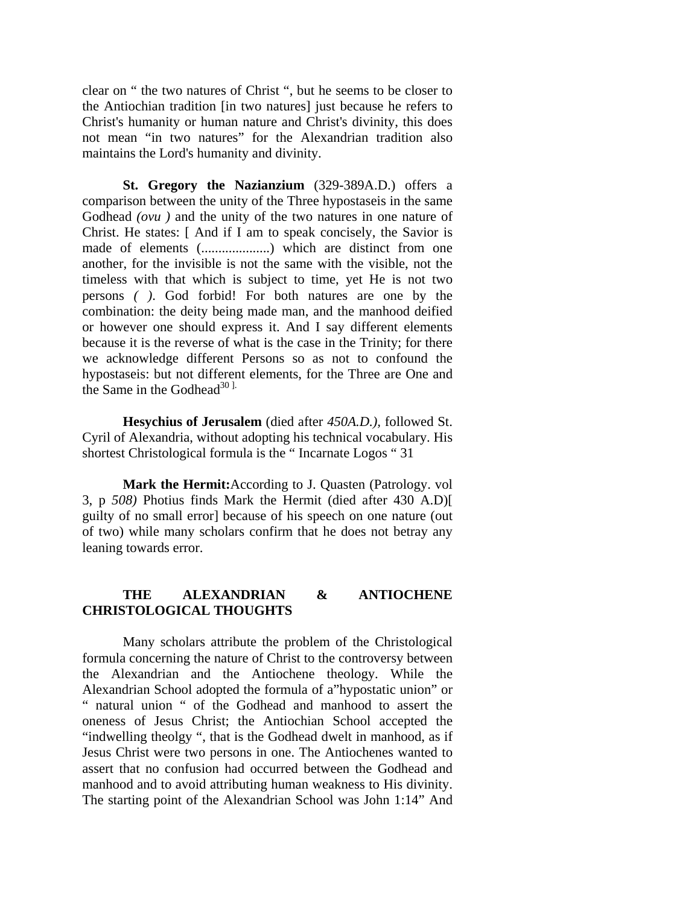clear on " the two natures of Christ ", but he seems to be closer to the Antiochian tradition [in two natures] just because he refers to Christ's humanity or human nature and Christ's divinity, this does not mean "in two natures" for the Alexandrian tradition also maintains the Lord's humanity and divinity.

**St. Gregory the Nazianzium** (329-389A.D.) offers a comparison between the unity of the Three hypostaseis in the same Godhead *(ovu)* and the unity of the two natures in one nature of Christ. He states: [ And if I am to speak concisely, the Savior is made of elements (....................) which are distinct from one another, for the invisible is not the same with the visible, not the timeless with that which is subject to time, yet He is not two persons *( )*. God forbid! For both natures are one by the combination: the deity being made man, and the manhood deified or however one should express it. And I say different elements because it is the reverse of what is the case in the Trinity; for there we acknowledge different Persons so as not to confound the hypostaseis: but not different elements, for the Three are One and the Same in the Godhead<sup>30 ].</sup>

**Hesychius of Jerusalem** (died after *450A.D.),* followed St. Cyril of Alexandria, without adopting his technical vocabulary. His shortest Christological formula is the " Incarnate Logos " 31

**Mark the Hermit:**According to J. Quasten (Patrology. vol 3, p *508)* Photius finds Mark the Hermit (died after 430 A.D)[ guilty of no small error] because of his speech on one nature (out of two) while many scholars confirm that he does not betray any leaning towards error.

## **THE ALEXANDRIAN & ANTIOCHENE CHRISTOLOGICAL THOUGHTS**

Many scholars attribute the problem of the Christological formula concerning the nature of Christ to the controversy between the Alexandrian and the Antiochene theology. While the Alexandrian School adopted the formula of a"hypostatic union" or " natural union " of the Godhead and manhood to assert the oneness of Jesus Christ; the Antiochian School accepted the "indwelling theolgy ", that is the Godhead dwelt in manhood, as if Jesus Christ were two persons in one. The Antiochenes wanted to assert that no confusion had occurred between the Godhead and manhood and to avoid attributing human weakness to His divinity. The starting point of the Alexandrian School was John 1:14" And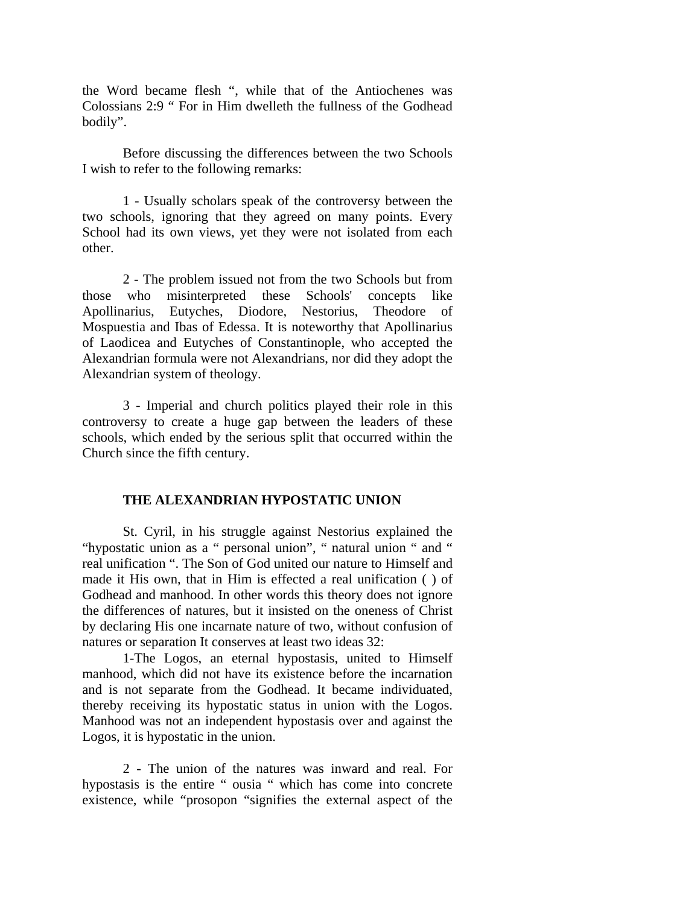the Word became flesh ", while that of the Antiochenes was Colossians 2:9 " For in Him dwelleth the fullness of the Godhead bodily".

Before discussing the differences between the two Schools I wish to refer to the following remarks:

1 - Usually scholars speak of the controversy between the two schools, ignoring that they agreed on many points. Every School had its own views, yet they were not isolated from each other.

2 - The problem issued not from the two Schools but from those who misinterpreted these Schools' concepts like Apollinarius, Eutyches, Diodore, Nestorius, Theodore of Mospuestia and Ibas of Edessa. It is noteworthy that Apollinarius of Laodicea and Eutyches of Constantinople, who accepted the Alexandrian formula were not Alexandrians, nor did they adopt the Alexandrian system of theology.

3 - Imperial and church politics played their role in this controversy to create a huge gap between the leaders of these schools, which ended by the serious split that occurred within the Church since the fifth century.

#### **THE ALEXANDRIAN HYPOSTATIC UNION**

St. Cyril, in his struggle against Nestorius explained the "hypostatic union as a " personal union", " natural union " and " real unification ". The Son of God united our nature to Himself and made it His own, that in Him is effected a real unification ( ) of Godhead and manhood. In other words this theory does not ignore the differences of natures, but it insisted on the oneness of Christ by declaring His one incarnate nature of two, without confusion of natures or separation It conserves at least two ideas 32:

1-The Logos, an eternal hypostasis, united to Himself manhood, which did not have its existence before the incarnation and is not separate from the Godhead. It became individuated, thereby receiving its hypostatic status in union with the Logos. Manhood was not an independent hypostasis over and against the Logos, it is hypostatic in the union.

2 - The union of the natures was inward and real. For hypostasis is the entire " ousia " which has come into concrete existence, while "prosopon "signifies the external aspect of the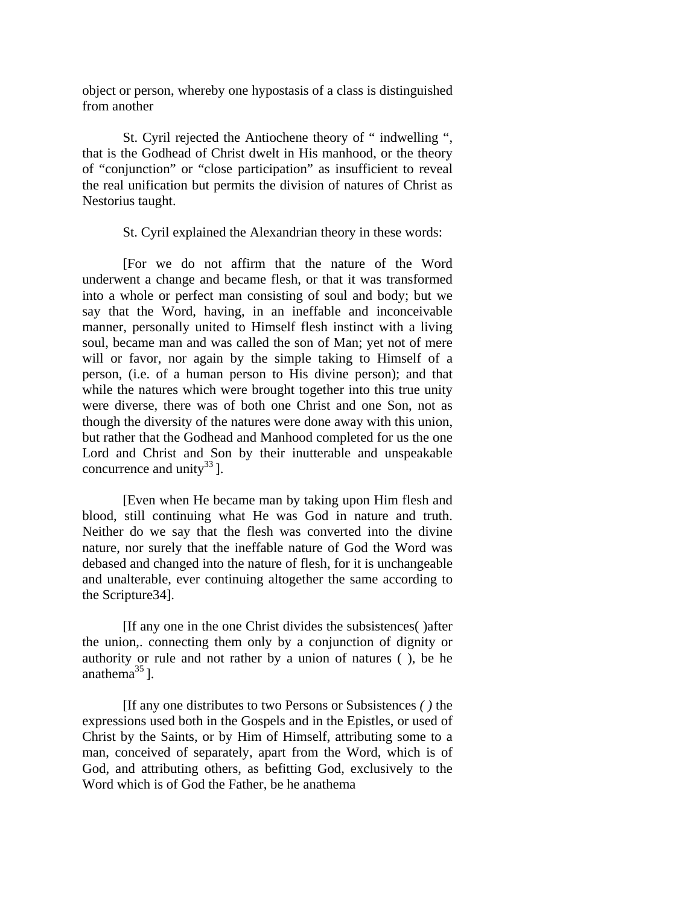object or person, whereby one hypostasis of a class is distinguished from another

St. Cyril rejected the Antiochene theory of " indwelling ", that is the Godhead of Christ dwelt in His manhood, or the theory of "conjunction" or "close participation" as insufficient to reveal the real unification but permits the division of natures of Christ as Nestorius taught.

St. Cyril explained the Alexandrian theory in these words:

[For we do not affirm that the nature of the Word underwent a change and became flesh, or that it was transformed into a whole or perfect man consisting of soul and body; but we say that the Word, having, in an ineffable and inconceivable manner, personally united to Himself flesh instinct with a living soul, became man and was called the son of Man; yet not of mere will or favor, nor again by the simple taking to Himself of a person, (i.e. of a human person to His divine person); and that while the natures which were brought together into this true unity were diverse, there was of both one Christ and one Son, not as though the diversity of the natures were done away with this union, but rather that the Godhead and Manhood completed for us the one Lord and Christ and Son by their inutterable and unspeakable concurrence and unity<sup>33</sup>].

[Even when He became man by taking upon Him flesh and blood, still continuing what He was God in nature and truth. Neither do we say that the flesh was converted into the divine nature, nor surely that the ineffable nature of God the Word was debased and changed into the nature of flesh, for it is unchangeable and unalterable, ever continuing altogether the same according to the Scripture34].

[If any one in the one Christ divides the subsistences( )after the union,. connecting them only by a conjunction of dignity or authority or rule and not rather by a union of natures ( ), be he anathema $^{35}$ ].

[If any one distributes to two Persons or Subsistences *( )* the expressions used both in the Gospels and in the Epistles, or used of Christ by the Saints, or by Him of Himself, attributing some to a man, conceived of separately, apart from the Word, which is of God, and attributing others, as befitting God, exclusively to the Word which is of God the Father, be he anathema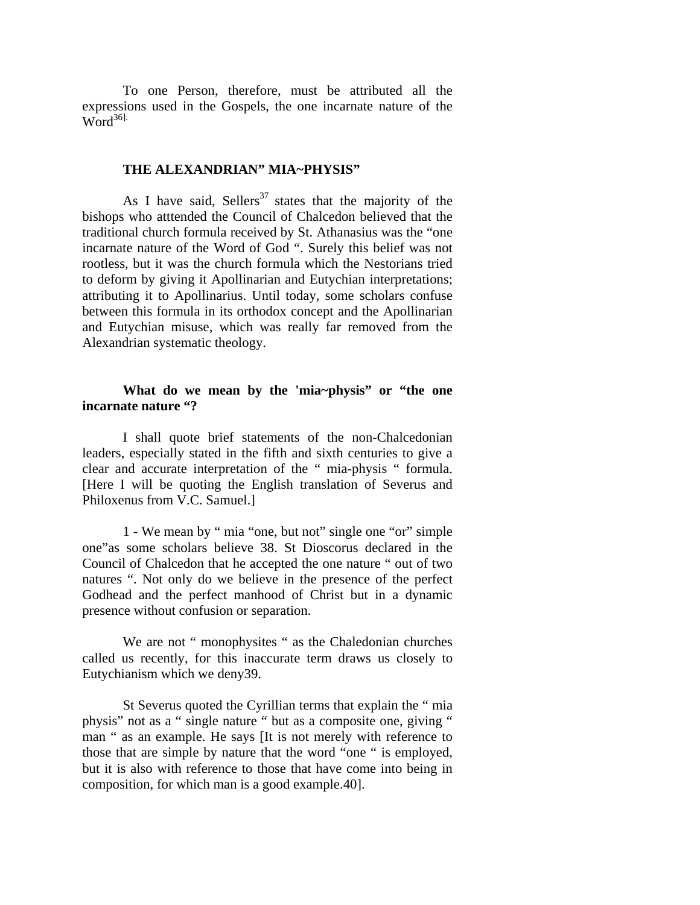To one Person, therefore, must be attributed all the expressions used in the Gospels, the one incarnate nature of the  $Word^{36}$ .

#### **THE ALEXANDRIAN" MIA~PHYSIS"**

As I have said, Sellers<sup>37</sup> states that the majority of the bishops who atttended the Council of Chalcedon believed that the traditional church formula received by St. Athanasius was the "one incarnate nature of the Word of God ". Surely this belief was not rootless, but it was the church formula which the Nestorians tried to deform by giving it Apollinarian and Eutychian interpretations; attributing it to Apollinarius. Until today, some scholars confuse between this formula in its orthodox concept and the Apollinarian and Eutychian misuse, which was really far removed from the Alexandrian systematic theology.

## **What do we mean by the 'mia~physis" or "the one incarnate nature "?**

I shall quote brief statements of the non-Chalcedonian leaders, especially stated in the fifth and sixth centuries to give a clear and accurate interpretation of the " mia-physis " formula. [Here I will be quoting the English translation of Severus and Philoxenus from V.C. Samuel.]

1 - We mean by " mia "one, but not" single one "or" simple one"as some scholars believe 38. St Dioscorus declared in the Council of Chalcedon that he accepted the one nature " out of two natures ". Not only do we believe in the presence of the perfect Godhead and the perfect manhood of Christ but in a dynamic presence without confusion or separation.

We are not " monophysites " as the Chaledonian churches called us recently, for this inaccurate term draws us closely to Eutychianism which we deny39.

St Severus quoted the Cyrillian terms that explain the " mia physis" not as a " single nature " but as a composite one, giving " man " as an example. He says [It is not merely with reference to those that are simple by nature that the word "one " is employed, but it is also with reference to those that have come into being in composition, for which man is a good example.40].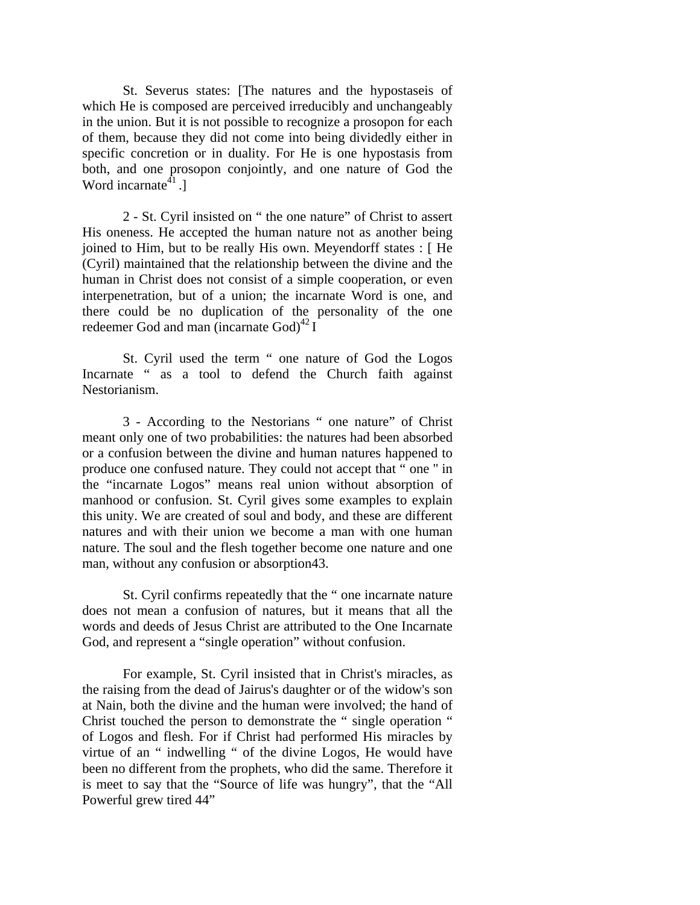St. Severus states: [The natures and the hypostaseis of which He is composed are perceived irreducibly and unchangeably in the union. But it is not possible to recognize a prosopon for each of them, because they did not come into being dividedly either in specific concretion or in duality. For He is one hypostasis from both, and one prosopon conjointly, and one nature of God the Word incarnate $41$ .]

2 - St. Cyril insisted on " the one nature" of Christ to assert His oneness. He accepted the human nature not as another being joined to Him, but to be really His own. Meyendorff states : [ He (Cyril) maintained that the relationship between the divine and the human in Christ does not consist of a simple cooperation, or even interpenetration, but of a union; the incarnate Word is one, and there could be no duplication of the personality of the one redeemer God and man (incarnate  $God)^{42}I$ 

St. Cyril used the term " one nature of God the Logos Incarnate " as a tool to defend the Church faith against Nestorianism.

3 - According to the Nestorians " one nature" of Christ meant only one of two probabilities: the natures had been absorbed or a confusion between the divine and human natures happened to produce one confused nature. They could not accept that " one '' in the "incarnate Logos" means real union without absorption of manhood or confusion. St. Cyril gives some examples to explain this unity. We are created of soul and body, and these are different natures and with their union we become a man with one human nature. The soul and the flesh together become one nature and one man, without any confusion or absorption43.

St. Cyril confirms repeatedly that the " one incarnate nature does not mean a confusion of natures, but it means that all the words and deeds of Jesus Christ are attributed to the One Incarnate God, and represent a "single operation" without confusion.

For example, St. Cyril insisted that in Christ's miracles, as the raising from the dead of Jairus's daughter or of the widow's son at Nain, both the divine and the human were involved; the hand of Christ touched the person to demonstrate the " single operation " of Logos and flesh. For if Christ had performed His miracles by virtue of an " indwelling " of the divine Logos, He would have been no different from the prophets, who did the same. Therefore it is meet to say that the "Source of life was hungry", that the "All Powerful grew tired 44"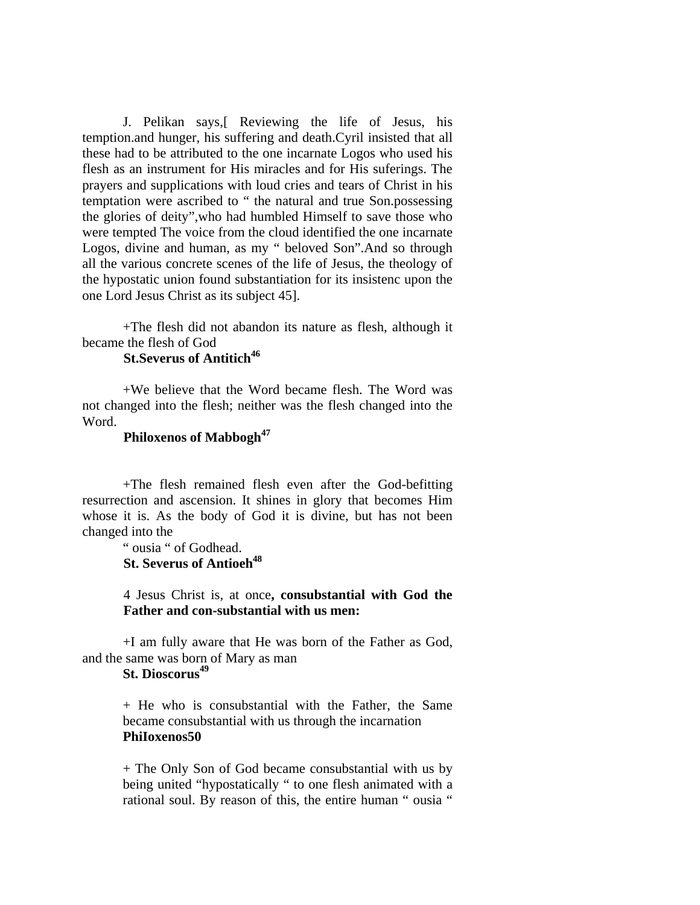J. Pelikan says,[ Reviewing the life of Jesus, his temption.and hunger, his suffering and death.Cyril insisted that all these had to be attributed to the one incarnate Logos who used his flesh as an instrument for His miracles and for His suferings. The prayers and supplications with loud cries and tears of Christ in his temptation were ascribed to " the natural and true Son.possessing the glories of deity",who had humbled Himself to save those who were tempted The voice from the cloud identified the one incarnate Logos, divine and human, as my " beloved Son".And so through all the various concrete scenes of the life of Jesus, the theology of the hypostatic union found substantiation for its insistenc upon the one Lord Jesus Christ as its subject 45].

+The flesh did not abandon its nature as flesh, although it became the flesh of God

# **St.Severus of Antitich<sup>46</sup>**

+We believe that the Word became flesh. The Word was not changed into the flesh; neither was the flesh changed into the Word.

## **Philoxenos of Mabbogh<sup>47</sup>**

+The flesh remained flesh even after the God-befitting resurrection and ascension. It shines in glory that becomes Him whose it is. As the body of God it is divine, but has not been changed into the

> " ousia " of Godhead. **St. Severus of Antioeh<sup>48</sup>**

4 Jesus Christ is, at once**, consubstantial with God the Father and con-substantial with us men:** 

+I am fully aware that He was born of the Father as God, and the same was born of Mary as man

# **St. Dioscorus<sup>49</sup>**

+ He who is consubstantial with the Father, the Same became consubstantial with us through the incarnation **PhiIoxenos50** 

+ The Only Son of God became consubstantial with us by being united "hypostatically " to one flesh animated with a rational soul. By reason of this, the entire human " ousia "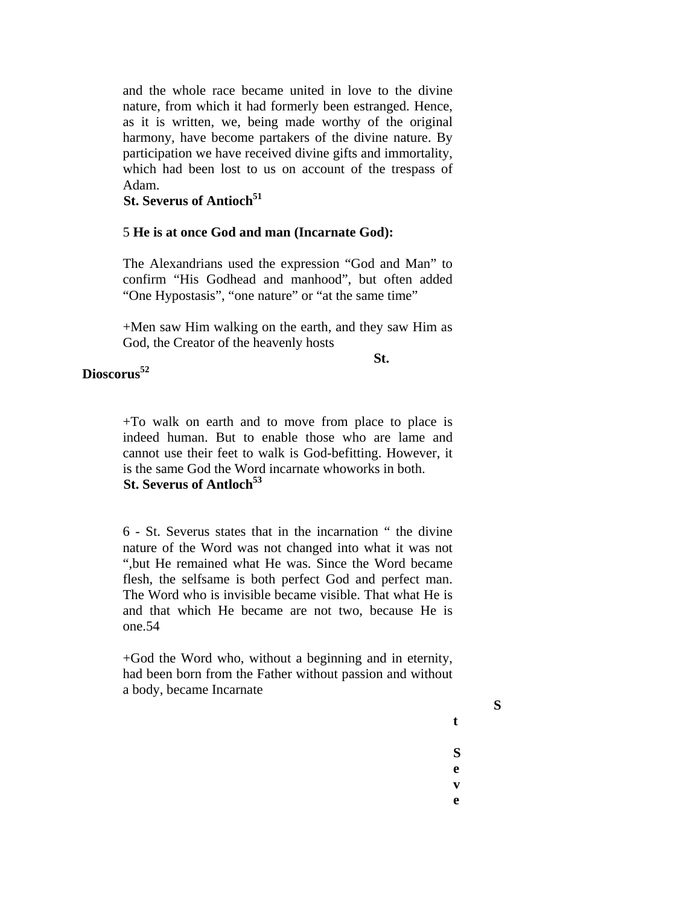and the whole race became united in love to the divine nature, from which it had formerly been estranged. Hence, as it is written, we, being made worthy of the original harmony, have become partakers of the divine nature. By participation we have received divine gifts and immortality, which had been lost to us on account of the trespass of Adam.

## **St. Severus of Antioch<sup>51</sup>**

### 5 **He is at once God and man (Incarnate God):**

The Alexandrians used the expression "God and Man" to confirm "His Godhead and manhood", but often added "One Hypostasis", "one nature" or "at the same time"

+Men saw Him walking on the earth, and they saw Him as God, the Creator of the heavenly hosts

**St.** 

# **Dioscorus<sup>52</sup>**

+To walk on earth and to move from place to place is indeed human. But to enable those who are lame and cannot use their feet to walk is God-befitting. However, it is the same God the Word incarnate whoworks in both. **St. Severus of Antloch**<sup>53</sup>

6 - St. Severus states that in the incarnation " the divine nature of the Word was not changed into what it was not ",but He remained what He was. Since the Word became flesh, the selfsame is both perfect God and perfect man. The Word who is invisible became visible. That what He is and that which He became are not two, because He is one.54

+God the Word who, without a beginning and in eternity, had been born from the Father without passion and without a body, became Incarnate

**S**

**t**

**S e**

**v**

**e**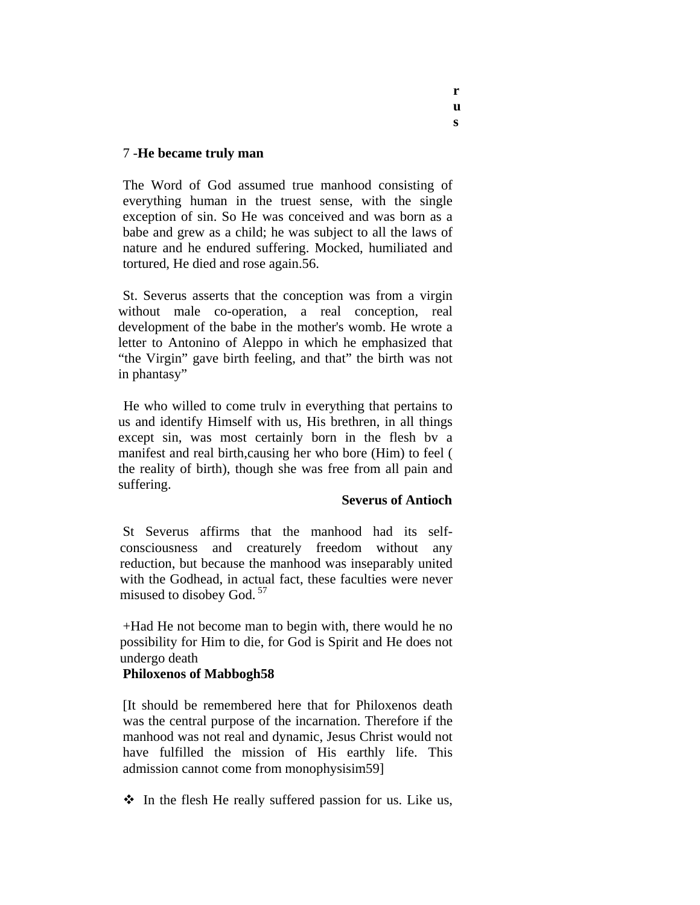## 7 -**He became truly man**

The Word of God assumed true manhood consisting of everything human in the truest sense, with the single exception of sin. So He was conceived and was born as a babe and grew as a child; he was subject to all the laws of nature and he endured suffering. Mocked, humiliated and tortured, He died and rose again.56.

St. Severus asserts that the conception was from a virgin without male co-operation, a real conception, real development of the babe in the mother's womb. He wrote a letter to Antonino of Aleppo in which he emphasized that "the Virgin" gave birth feeling, and that" the birth was not in phantasy"

 He who willed to come trulv in everything that pertains to us and identify Himself with us, His brethren, in all things except sin, was most certainly born in the flesh bv a manifest and real birth,causing her who bore (Him) to feel ( the reality of birth), though she was free from all pain and suffering.

## **Severus of Antioch**

St Severus affirms that the manhood had its selfconsciousness and creaturely freedom without any reduction, but because the manhood was inseparably united with the Godhead, in actual fact, these faculties were never misused to disobey God.<sup>57</sup>

+Had He not become man to begin with, there would he no possibility for Him to die, for God is Spirit and He does not undergo death

## **Philoxenos of Mabbogh58**

[It should be remembered here that for Philoxenos death was the central purpose of the incarnation. Therefore if the manhood was not real and dynamic, Jesus Christ would not have fulfilled the mission of His earthly life. This admission cannot come from monophysisim59]

 $\hat{\mathbf{v}}$  In the flesh He really suffered passion for us. Like us,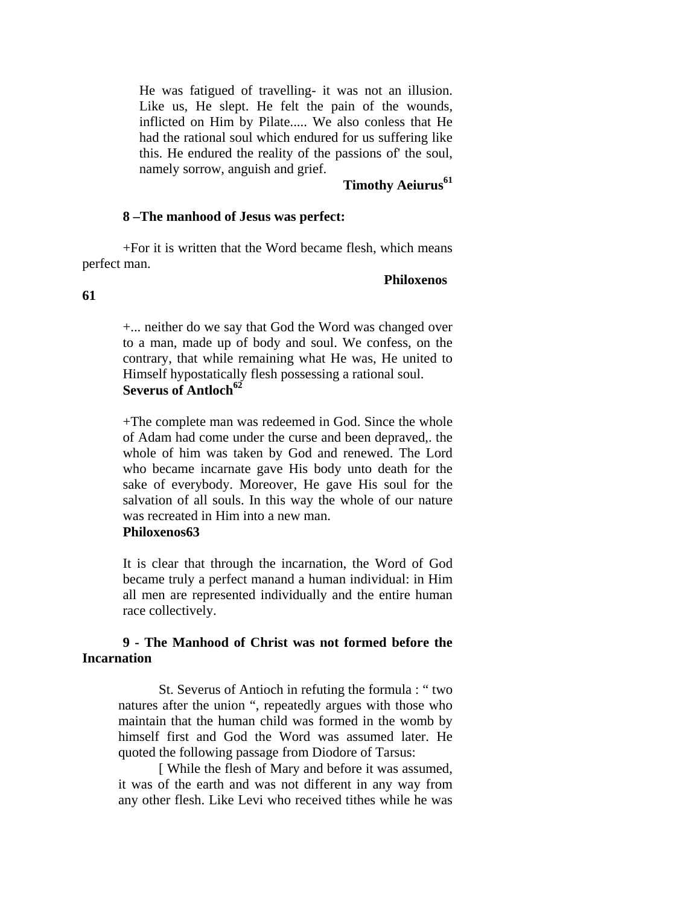He was fatigued of travelling- it was not an illusion. Like us, He slept. He felt the pain of the wounds, inflicted on Him by Pilate..... We also conless that He had the rational soul which endured for us suffering like this. He endured the reality of the passions of' the soul, namely sorrow, anguish and grief.

## **Timothy Aeiurus<sup>61</sup>**

#### **8 –The manhood of Jesus was perfect:**

+For it is written that the Word became flesh, which means perfect man.

#### **Philoxenos**

**61** 

+... neither do we say that God the Word was changed over to a man, made up of body and soul. We confess, on the contrary, that while remaining what He was, He united to Himself hypostatically flesh possessing a rational soul. **Severus of Antloch<sup>62</sup>**

+The complete man was redeemed in God. Since the whole of Adam had come under the curse and been depraved,. the whole of him was taken by God and renewed. The Lord who became incarnate gave His body unto death for the sake of everybody. Moreover, He gave His soul for the salvation of all souls. In this way the whole of our nature was recreated in Him into a new man.

#### **Philoxenos63**

It is clear that through the incarnation, the Word of God became truly a perfect manand a human individual: in Him all men are represented individually and the entire human race collectively.

### **9 - The Manhood of Christ was not formed before the Incarnation**

St. Severus of Antioch in refuting the formula : " two natures after the union ", repeatedly argues with those who maintain that the human child was formed in the womb by himself first and God the Word was assumed later. He quoted the following passage from Diodore of Tarsus:

[ While the flesh of Mary and before it was assumed, it was of the earth and was not different in any way from any other flesh. Like Levi who received tithes while he was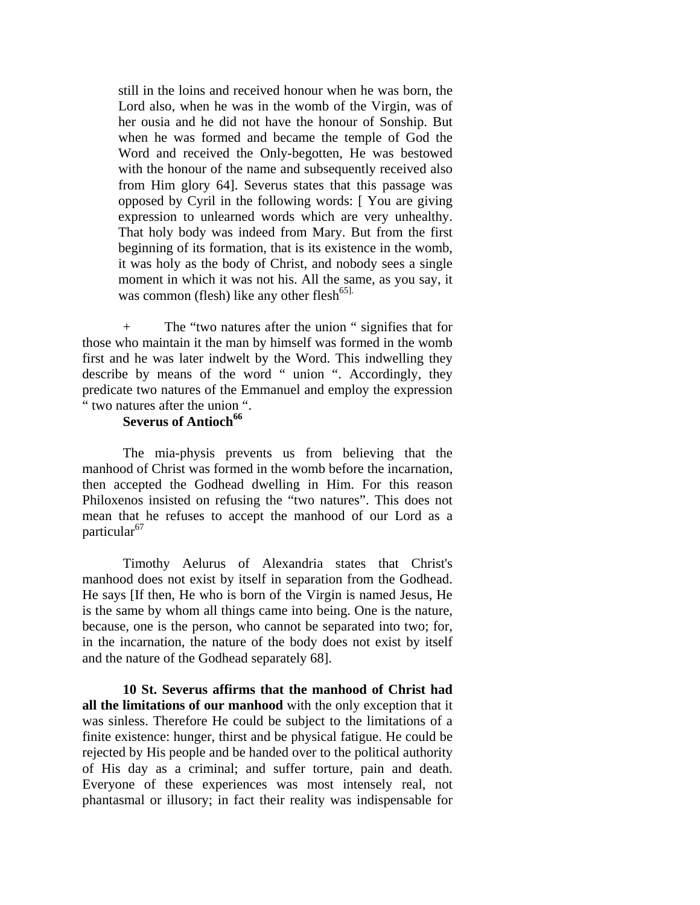still in the loins and received honour when he was born, the Lord also, when he was in the womb of the Virgin, was of her ousia and he did not have the honour of Sonship. But when he was formed and became the temple of God the Word and received the Only-begotten, He was bestowed with the honour of the name and subsequently received also from Him glory 64]. Severus states that this passage was opposed by Cyril in the following words: [ You are giving expression to unlearned words which are very unhealthy. That holy body was indeed from Mary. But from the first beginning of its formation, that is its existence in the womb, it was holy as the body of Christ, and nobody sees a single moment in which it was not his. All the same, as you say, it was common (flesh) like any other flesh<sup>65].</sup>

+ The "two natures after the union " signifies that for those who maintain it the man by himself was formed in the womb first and he was later indwelt by the Word. This indwelling they describe by means of the word " union ". Accordingly, they predicate two natures of the Emmanuel and employ the expression " two natures after the union ".

#### **Severus of Antioch<sup>66</sup>**

The mia-physis prevents us from believing that the manhood of Christ was formed in the womb before the incarnation, then accepted the Godhead dwelling in Him. For this reason Philoxenos insisted on refusing the "two natures". This does not mean that he refuses to accept the manhood of our Lord as a particular<sup>67</sup>

Timothy Aelurus of Alexandria states that Christ's manhood does not exist by itself in separation from the Godhead. He says [If then, He who is born of the Virgin is named Jesus, He is the same by whom all things came into being. One is the nature, because, one is the person, who cannot be separated into two; for, in the incarnation, the nature of the body does not exist by itself and the nature of the Godhead separately 68].

**10 St. Severus affirms that the manhood of Christ had all the limitations of our manhood** with the only exception that it was sinless. Therefore He could be subject to the limitations of a finite existence: hunger, thirst and be physical fatigue. He could be rejected by His people and be handed over to the political authority of His day as a criminal; and suffer torture, pain and death. Everyone of these experiences was most intensely real, not phantasmal or illusory; in fact their reality was indispensable for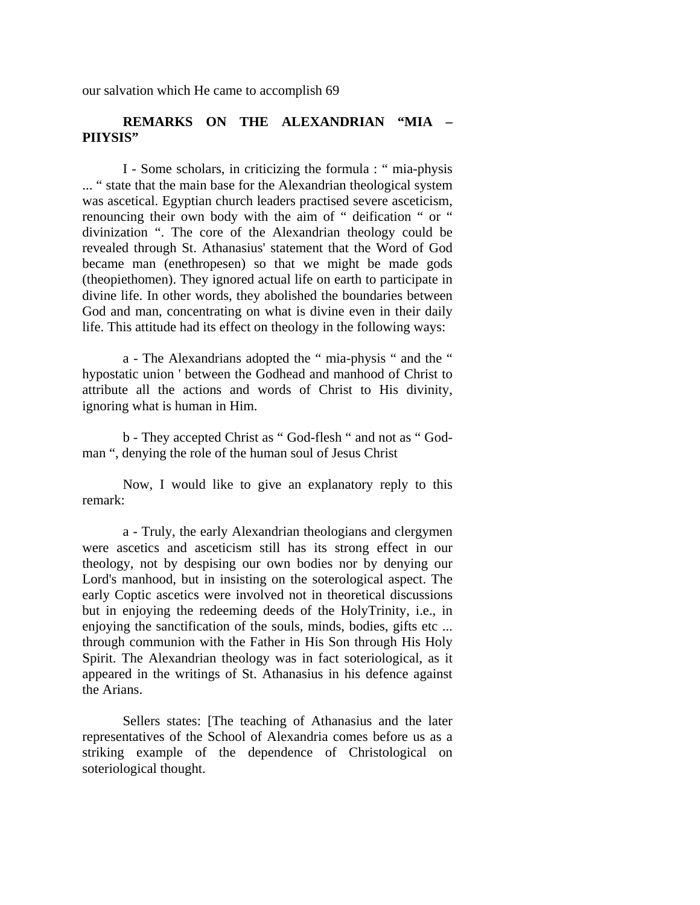our salvation which He came to accomplish 69

## **REMARKS ON THE ALEXANDRIAN "MIA – PIIYSIS"**

I - Some scholars, in criticizing the formula : " mia-physis ... " state that the main base for the Alexandrian theological system was ascetical. Egyptian church leaders practised severe asceticism, renouncing their own body with the aim of " deification " or " divinization ". The core of the Alexandrian theology could be revealed through St. Athanasius' statement that the Word of God became man (enethropesen) so that we might be made gods (theopiethomen). They ignored actual life on earth to participate in divine life. In other words, they abolished the boundaries between God and man, concentrating on what is divine even in their daily life. This attitude had its effect on theology in the following ways:

a - The Alexandrians adopted the " mia-physis " and the " hypostatic union ' between the Godhead and manhood of Christ to attribute all the actions and words of Christ to His divinity, ignoring what is human in Him.

b - They accepted Christ as " God-flesh " and not as " Godman ", denying the role of the human soul of Jesus Christ

Now, I would like to give an explanatory reply to this remark:

a - Truly, the early Alexandrian theologians and clergymen were ascetics and asceticism still has its strong effect in our theology, not by despising our own bodies nor by denying our Lord's manhood, but in insisting on the soterological aspect. The early Coptic ascetics were involved not in theoretical discussions but in enjoying the redeeming deeds of the HolyTrinity, i.e., in enjoying the sanctification of the souls, minds, bodies, gifts etc ... through communion with the Father in His Son through His Holy Spirit. The Alexandrian theology was in fact soteriological, as it appeared in the writings of St. Athanasius in his defence against the Arians.

Sellers states: [The teaching of Athanasius and the later representatives of the School of Alexandria comes before us as a striking example of the dependence of Christological on soteriological thought.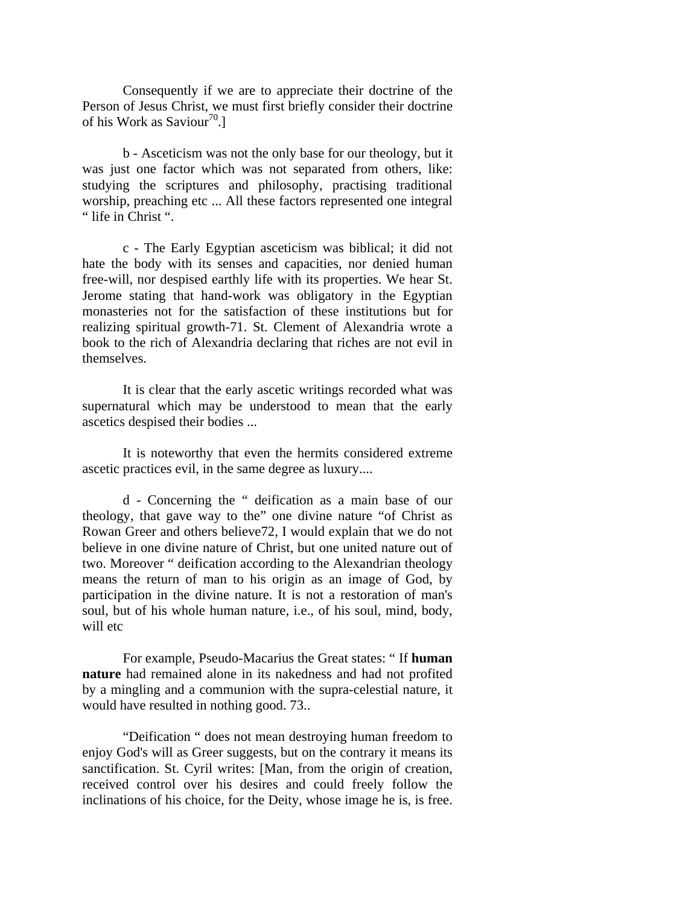Consequently if we are to appreciate their doctrine of the Person of Jesus Christ, we must first briefly consider their doctrine of his Work as Saviour<sup>70</sup>.

b - Asceticism was not the only base for our theology, but it was just one factor which was not separated from others, like: studying the scriptures and philosophy, practising traditional worship, preaching etc ... All these factors represented one integral " life in Christ ".

c - The Early Egyptian asceticism was biblical; it did not hate the body with its senses and capacities, nor denied human free-will, nor despised earthly life with its properties. We hear St. Jerome stating that hand-work was obligatory in the Egyptian monasteries not for the satisfaction of these institutions but for realizing spiritual growth-71. St. Clement of Alexandria wrote a book to the rich of Alexandria declaring that riches are not evil in themselves.

It is clear that the early ascetic writings recorded what was supernatural which may be understood to mean that the early ascetics despised their bodies ...

It is noteworthy that even the hermits considered extreme ascetic practices evil, in the same degree as luxury....

d - Concerning the " deification as a main base of our theology, that gave way to the" one divine nature "of Christ as Rowan Greer and others believe72, I would explain that we do not believe in one divine nature of Christ, but one united nature out of two. Moreover " deification according to the Alexandrian theology means the return of man to his origin as an image of God, by participation in the divine nature. It is not a restoration of man's soul, but of his whole human nature, i.e., of his soul, mind, body, will etc

For example, Pseudo-Macarius the Great states: " If **human nature** had remained alone in its nakedness and had not profited by a mingling and a communion with the supra-celestial nature, it would have resulted in nothing good. 73..

"Deification " does not mean destroying human freedom to enjoy God's will as Greer suggests, but on the contrary it means its sanctification. St. Cyril writes: [Man, from the origin of creation, received control over his desires and could freely follow the inclinations of his choice, for the Deity, whose image he is, is free.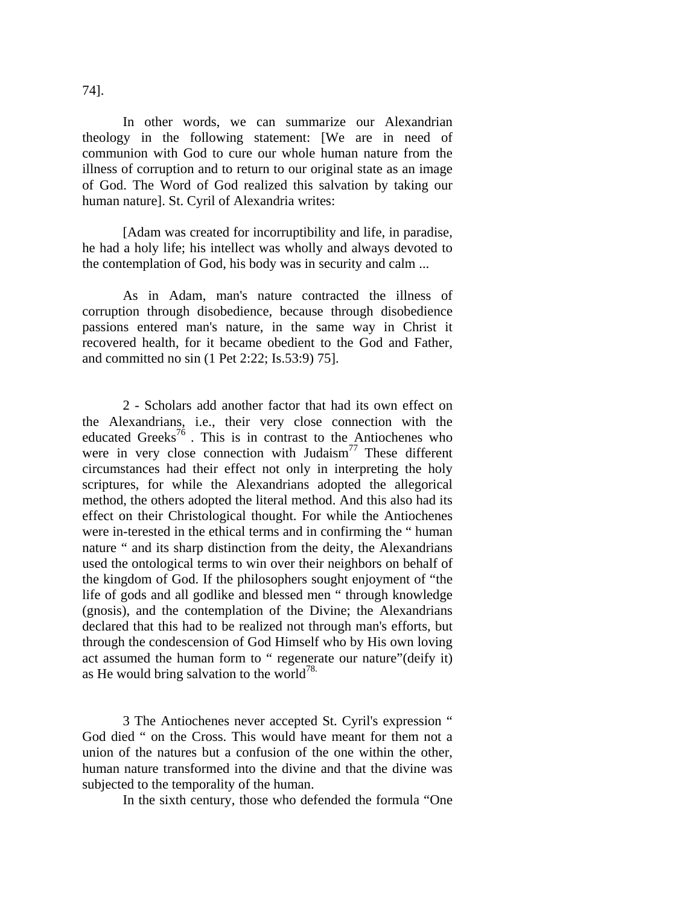In other words, we can summarize our Alexandrian theology in the following statement: [We are in need of communion with God to cure our whole human nature from the illness of corruption and to return to our original state as an image of God. The Word of God realized this salvation by taking our human nature]. St. Cyril of Alexandria writes:

[Adam was created for incorruptibility and life, in paradise, he had a holy life; his intellect was wholly and always devoted to the contemplation of God, his body was in security and calm ...

As in Adam, man's nature contracted the illness of corruption through disobedience, because through disobedience passions entered man's nature, in the same way in Christ it recovered health, for it became obedient to the God and Father, and committed no sin (1 Pet 2:22; Is.53:9) 75].

2 - Scholars add another factor that had its own effect on the Alexandrians, i.e., their very close connection with the educated Greeks<sup>76</sup>. This is in contrast to the Antiochenes who were in very close connection with Judaism<sup>77</sup> These different circumstances had their effect not only in interpreting the holy scriptures, for while the Alexandrians adopted the allegorical method, the others adopted the literal method. And this also had its effect on their Christological thought. For while the Antiochenes were in-terested in the ethical terms and in confirming the " human nature " and its sharp distinction from the deity, the Alexandrians used the ontological terms to win over their neighbors on behalf of the kingdom of God. If the philosophers sought enjoyment of "the life of gods and all godlike and blessed men " through knowledge (gnosis), and the contemplation of the Divine; the Alexandrians declared that this had to be realized not through man's efforts, but through the condescension of God Himself who by His own loving act assumed the human form to " regenerate our nature"(deify it) as He would bring salvation to the world<sup>78.</sup>

3 The Antiochenes never accepted St. Cyril's expression " God died " on the Cross. This would have meant for them not a union of the natures but a confusion of the one within the other, human nature transformed into the divine and that the divine was subjected to the temporality of the human.

In the sixth century, those who defended the formula "One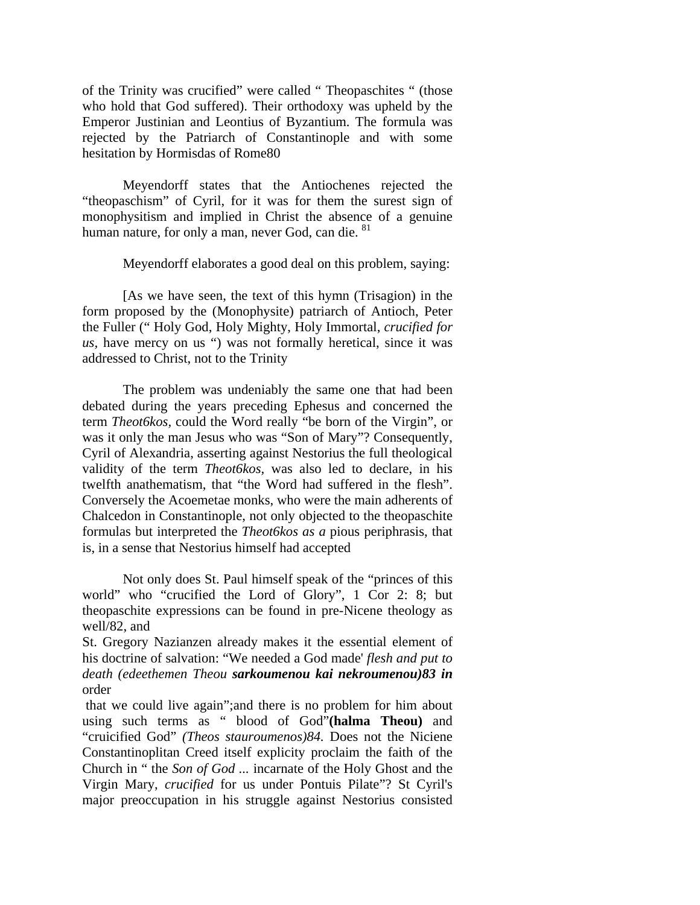of the Trinity was crucified" were called " Theopaschites " (those who hold that God suffered). Their orthodoxy was upheld by the Emperor Justinian and Leontius of Byzantium. The formula was rejected by the Patriarch of Constantinople and with some hesitation by Hormisdas of Rome80

Meyendorff states that the Antiochenes rejected the "theopaschism" of Cyril, for it was for them the surest sign of monophysitism and implied in Christ the absence of a genuine human nature, for only a man, never God, can die. <sup>81</sup>

Meyendorff elaborates a good deal on this problem, saying:

[As we have seen, the text of this hymn (Trisagion) in the form proposed by the (Monophysite) patriarch of Antioch, Peter the Fuller (" Holy God, Holy Mighty, Holy Immortal, *crucified for us*, have mercy on us ") was not formally heretical, since it was addressed to Christ, not to the Trinity

The problem was undeniably the same one that had been debated during the years preceding Ephesus and concerned the term *Theot6kos,* could the Word really "be born of the Virgin", or was it only the man Jesus who was "Son of Mary"? Consequently, Cyril of Alexandria, asserting against Nestorius the full theological validity of the term *Theot6kos,* was also led to declare, in his twelfth anathematism, that "the Word had suffered in the flesh". Conversely the Acoemetae monks, who were the main adherents of Chalcedon in Constantinople, not only objected to the theopaschite formulas but interpreted the *Theot6kos as a* pious periphrasis, that is, in a sense that Nestorius himself had accepted

Not only does St. Paul himself speak of the "princes of this world" who "crucified the Lord of Glory", 1 Cor 2: 8; but theopaschite expressions can be found in pre-Nicene theology as well/82, and

St. Gregory Nazianzen already makes it the essential element of his doctrine of salvation: "We needed a God made' *flesh and put to death (edeethemen Theou sarkoumenou kai nekroumenou)83 in*  order

 that we could live again";and there is no problem for him about using such terms as " blood of God"**(halma Theou)** and "cruicified God" *(Theos stauroumenos)84.* Does not the Niciene Constantinoplitan Creed itself explicity proclaim the faith of the Church in " the *Son of God ...* incarnate of the Holy Ghost and the Virgin Mary, *crucified* for us under Pontuis Pilate"? St Cyril's major preoccupation in his struggle against Nestorius consisted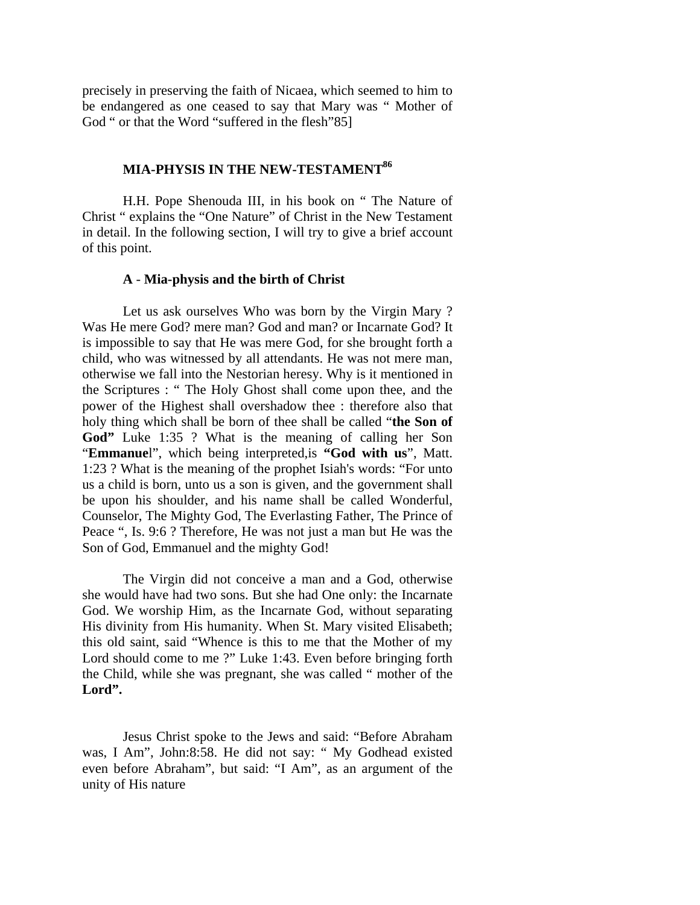precisely in preserving the faith of Nicaea, which seemed to him to be endangered as one ceased to say that Mary was " Mother of God " or that the Word "suffered in the flesh"85]

## **MIA-PHYSIS IN THE NEW-TESTAMENT**<sup>86</sup>

H.H. Pope Shenouda III, in his book on " The Nature of Christ " explains the "One Nature" of Christ in the New Testament in detail. In the following section, I will try to give a brief account of this point.

#### **A** - **Mia-physis and the birth of Christ**

Let us ask ourselves Who was born by the Virgin Mary ? Was He mere God? mere man? God and man? or Incarnate God? It is impossible to say that He was mere God, for she brought forth a child, who was witnessed by all attendants. He was not mere man, otherwise we fall into the Nestorian heresy. Why is it mentioned in the Scriptures : " The Holy Ghost shall come upon thee, and the power of the Highest shall overshadow thee : therefore also that holy thing which shall be born of thee shall be called "**the Son of God"** Luke 1:35 ? What is the meaning of calling her Son "**Emmanue**l", which being interpreted,is **"God with us**", Matt. 1:23 ? What is the meaning of the prophet Isiah's words: "For unto us a child is born, unto us a son is given, and the government shall be upon his shoulder, and his name shall be called Wonderful, Counselor, The Mighty God, The Everlasting Father, The Prince of Peace ", Is. 9:6 ? Therefore, He was not just a man but He was the Son of God, Emmanuel and the mighty God!

The Virgin did not conceive a man and a God, otherwise she would have had two sons. But she had One only: the Incarnate God. We worship Him, as the Incarnate God, without separating His divinity from His humanity. When St. Mary visited Elisabeth; this old saint, said "Whence is this to me that the Mother of my Lord should come to me ?" Luke 1:43. Even before bringing forth the Child, while she was pregnant, she was called " mother of the **Lord".** 

Jesus Christ spoke to the Jews and said: "Before Abraham was, I Am", John:8:58. He did not say: " My Godhead existed even before Abraham", but said: "I Am", as an argument of the unity of His nature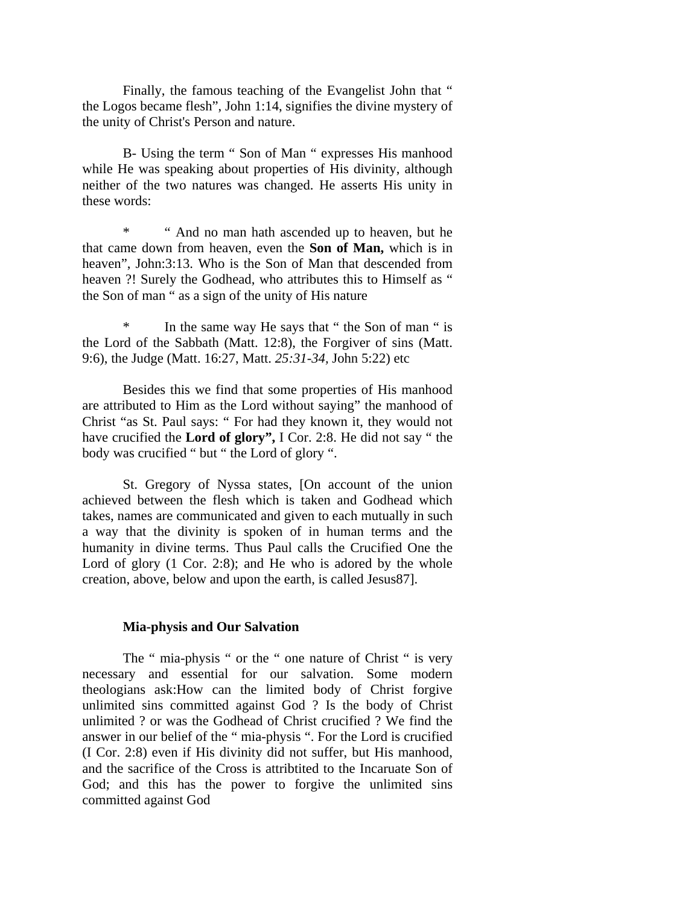Finally, the famous teaching of the Evangelist John that " the Logos became flesh", John 1:14, signifies the divine mystery of the unity of Christ's Person and nature.

B- Using the term " Son of Man " expresses His manhood while He was speaking about properties of His divinity, although neither of the two natures was changed. He asserts His unity in these words:

\* " And no man hath ascended up to heaven, but he that came down from heaven, even the **Son of Man,** which is in heaven", John:3:13. Who is the Son of Man that descended from heaven ?! Surely the Godhead, who attributes this to Himself as " the Son of man " as a sign of the unity of His nature

\* In the same way He says that " the Son of man " is the Lord of the Sabbath (Matt. 12:8), the Forgiver of sins (Matt. 9:6), the Judge (Matt. 16:27, Matt. *25:31-34,* John 5:22) etc

Besides this we find that some properties of His manhood are attributed to Him as the Lord without saying" the manhood of Christ "as St. Paul says: " For had they known it, they would not have crucified the **Lord of glory",** I Cor. 2:8. He did not say " the body was crucified " but " the Lord of glory ".

St. Gregory of Nyssa states, [On account of the union achieved between the flesh which is taken and Godhead which takes, names are communicated and given to each mutually in such a way that the divinity is spoken of in human terms and the humanity in divine terms. Thus Paul calls the Crucified One the Lord of glory  $(1 \text{ Cor. } 2.8)$ ; and He who is adored by the whole creation, above, below and upon the earth, is called Jesus87].

#### **Mia-physis and Our Salvation**

The " mia-physis " or the " one nature of Christ " is very necessary and essential for our salvation. Some modern theologians ask:How can the limited body of Christ forgive unlimited sins committed against God ? Is the body of Christ unlimited ? or was the Godhead of Christ crucified ? We find the answer in our belief of the " mia-physis ". For the Lord is crucified (I Cor. 2:8) even if His divinity did not suffer, but His manhood, and the sacrifice of the Cross is attribtited to the Incaruate Son of God; and this has the power to forgive the unlimited sins committed against God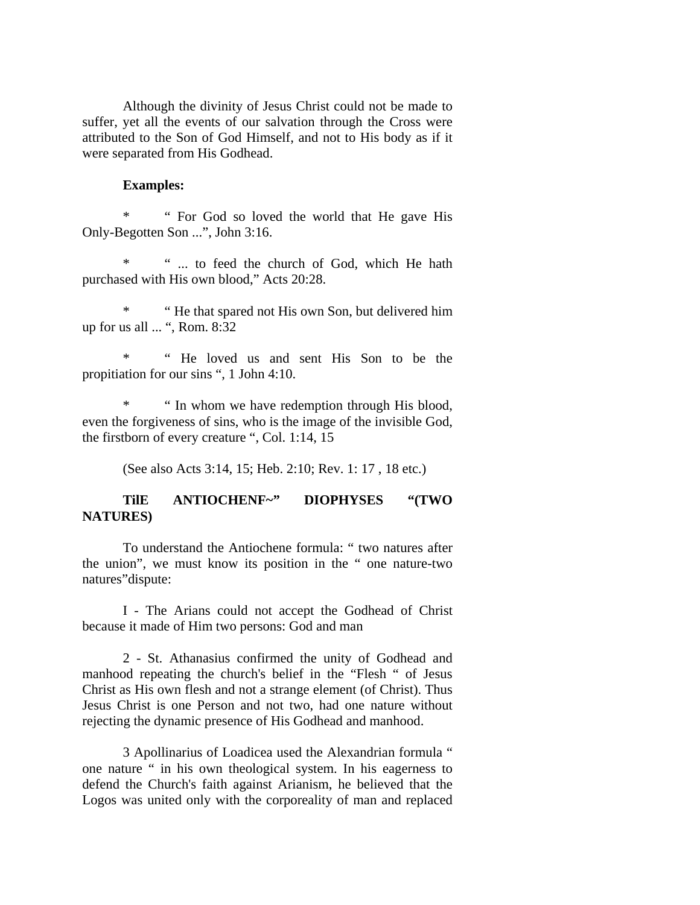Although the divinity of Jesus Christ could not be made to suffer, yet all the events of our salvation through the Cross were attributed to the Son of God Himself, and not to His body as if it were separated from His Godhead.

#### **Examples:**

\* " For God so loved the world that He gave His Only-Begotten Son ...", John 3:16.

\* " ... to feed the church of God, which He hath purchased with His own blood," Acts 20:28.

\* " He that spared not His own Son, but delivered him up for us all ... ", Rom. 8:32

\* " He loved us and sent His Son to be the propitiation for our sins ", 1 John 4:10.

" In whom we have redemption through His blood, even the forgiveness of sins, who is the image of the invisible God, the firstborn of every creature ", Col. 1:14, 15

(See also Acts 3:14, 15; Heb. 2:10; Rev. 1: 17 , 18 etc.)

## **TilE ANTIOCHENF~" DIOPHYSES "(TWO NATURES)**

To understand the Antiochene formula: " two natures after the union", we must know its position in the " one nature-two natures"dispute:

I - The Arians could not accept the Godhead of Christ because it made of Him two persons: God and man

2 - St. Athanasius confirmed the unity of Godhead and manhood repeating the church's belief in the "Flesh " of Jesus Christ as His own flesh and not a strange element (of Christ). Thus Jesus Christ is one Person and not two, had one nature without rejecting the dynamic presence of His Godhead and manhood.

3 Apollinarius of Loadicea used the Alexandrian formula " one nature " in his own theological system. In his eagerness to defend the Church's faith against Arianism, he believed that the Logos was united only with the corporeality of man and replaced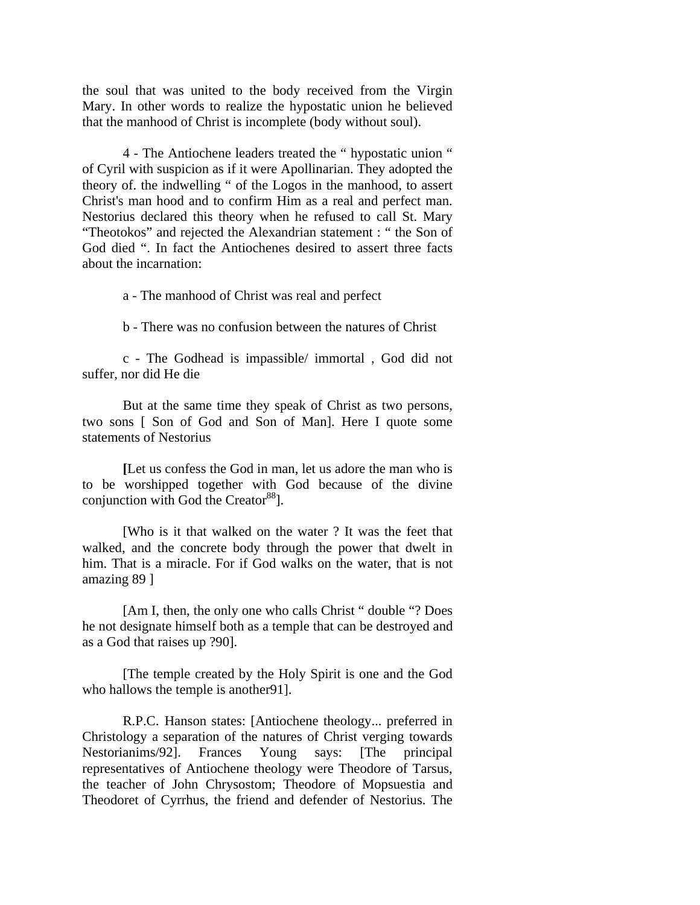the soul that was united to the body received from the Virgin Mary. In other words to realize the hypostatic union he believed that the manhood of Christ is incomplete (body without soul).

4 - The Antiochene leaders treated the " hypostatic union " of Cyril with suspicion as if it were Apollinarian. They adopted the theory of. the indwelling " of the Logos in the manhood, to assert Christ's man hood and to confirm Him as a real and perfect man. Nestorius declared this theory when he refused to call St. Mary "Theotokos" and rejected the Alexandrian statement : " the Son of God died ". In fact the Antiochenes desired to assert three facts about the incarnation:

a - The manhood of Christ was real and perfect

b - There was no confusion between the natures of Christ

c - The Godhead is impassible/ immortal , God did not suffer, nor did He die

But at the same time they speak of Christ as two persons, two sons [ Son of God and Son of Man]. Here I quote some statements of Nestorius

**[**Let us confess the God in man, let us adore the man who is to be worshipped together with God because of the divine conjunction with God the Creator<sup>88</sup>].

[Who is it that walked on the water ? It was the feet that walked, and the concrete body through the power that dwelt in him. That is a miracle. For if God walks on the water, that is not amazing 89 ]

[Am I, then, the only one who calls Christ " double "? Does he not designate himself both as a temple that can be destroyed and as a God that raises up ?90].

[The temple created by the Holy Spirit is one and the God who hallows the temple is another 91].

R.P.C. Hanson states: [Antiochene theology... preferred in Christology a separation of the natures of Christ verging towards Nestorianims/92]. Frances Young says: [The principal representatives of Antiochene theology were Theodore of Tarsus, the teacher of John Chrysostom; Theodore of Mopsuestia and Theodoret of Cyrrhus, the friend and defender of Nestorius. The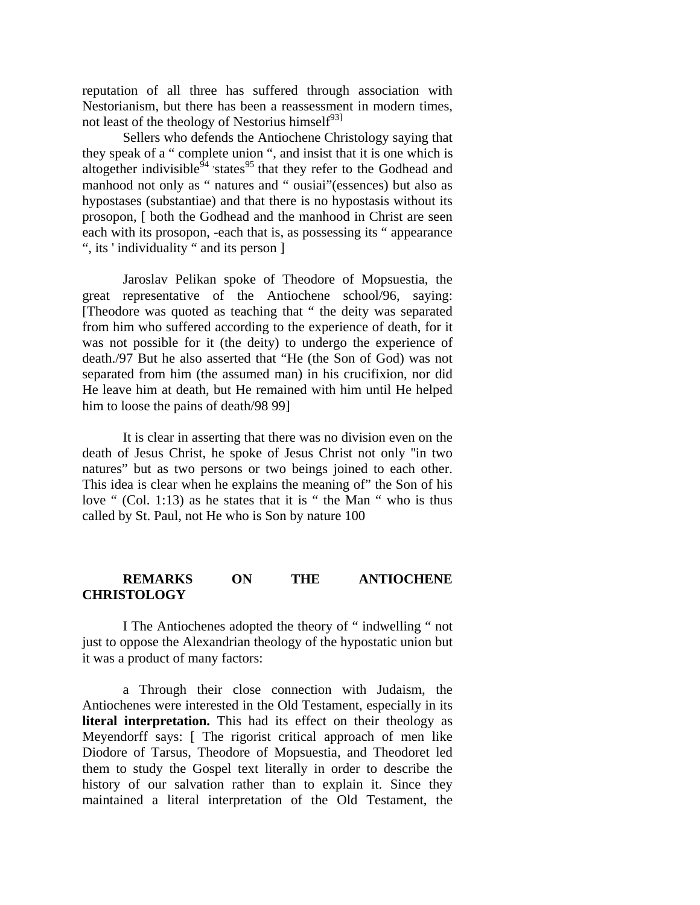reputation of all three has suffered through association with Nestorianism, but there has been a reassessment in modern times, not least of the theology of Nestorius himself $^{93}$ 

Sellers who defends the Antiochene Christology saying that they speak of a " complete union ", and insist that it is one which is altogether indivisible $94$  states<sup>95</sup> that they refer to the Godhead and manhood not only as " natures and " ousiai"(essences) but also as hypostases (substantiae) and that there is no hypostasis without its prosopon, [ both the Godhead and the manhood in Christ are seen each with its prosopon, -each that is, as possessing its " appearance ", its ' individuality " and its person ]

Jaroslav Pelikan spoke of Theodore of Mopsuestia, the great representative of the Antiochene school/96, saying: [Theodore was quoted as teaching that " the deity was separated from him who suffered according to the experience of death, for it was not possible for it (the deity) to undergo the experience of death./97 But he also asserted that "He (the Son of God) was not separated from him (the assumed man) in his crucifixion, nor did He leave him at death, but He remained with him until He helped him to loose the pains of death/98 99]

It is clear in asserting that there was no division even on the death of Jesus Christ, he spoke of Jesus Christ not only ''in two natures" but as two persons or two beings joined to each other. This idea is clear when he explains the meaning of" the Son of his love " (Col. 1:13) as he states that it is " the Man " who is thus called by St. Paul, not He who is Son by nature 100

## **REMARKS ON THE ANTIOCHENE CHRISTOLOGY**

I The Antiochenes adopted the theory of " indwelling " not just to oppose the Alexandrian theology of the hypostatic union but it was a product of many factors:

a Through their close connection with Judaism, the Antiochenes were interested in the Old Testament, especially in its **literal interpretation.** This had its effect on their theology as Meyendorff says: [ The rigorist critical approach of men like Diodore of Tarsus, Theodore of Mopsuestia, and Theodoret led them to study the Gospel text literally in order to describe the history of our salvation rather than to explain it. Since they maintained a literal interpretation of the Old Testament, the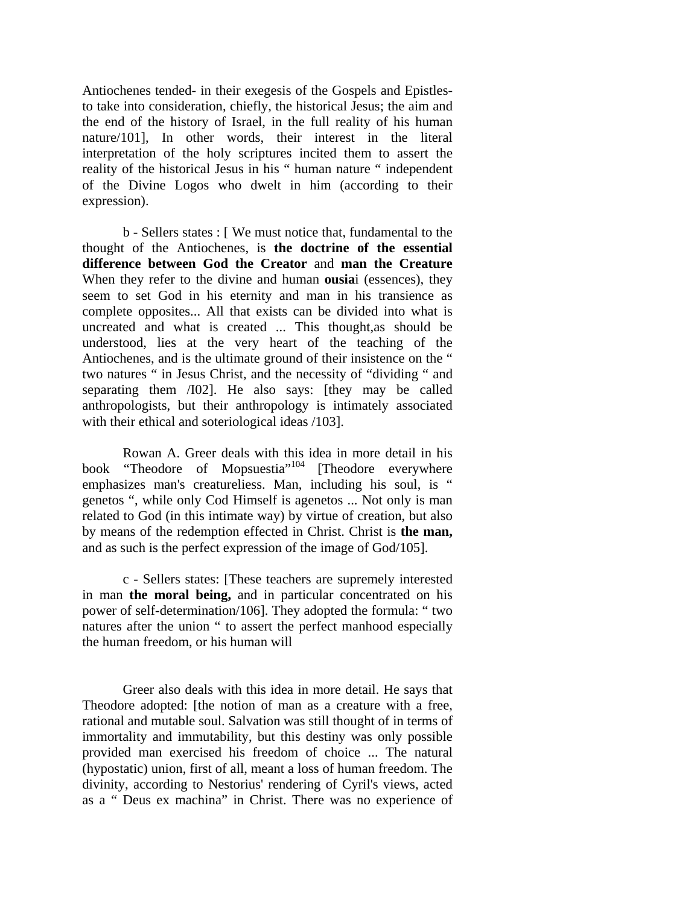Antiochenes tended- in their exegesis of the Gospels and Epistlesto take into consideration, chiefly, the historical Jesus; the aim and the end of the history of Israel, in the full reality of his human nature/101], In other words, their interest in the literal interpretation of the holy scriptures incited them to assert the reality of the historical Jesus in his " human nature " independent of the Divine Logos who dwelt in him (according to their expression).

b - Sellers states : [ We must notice that, fundamental to the thought of the Antiochenes, is **the doctrine of the essential difference between God the Creator** and **man the Creature**  When they refer to the divine and human **ousia**i (essences), they seem to set God in his eternity and man in his transience as complete opposites... All that exists can be divided into what is uncreated and what is created ... This thought,as should be understood, lies at the very heart of the teaching of the Antiochenes, and is the ultimate ground of their insistence on the " two natures " in Jesus Christ, and the necessity of "dividing " and separating them /I02]. He also says: [they may be called anthropologists, but their anthropology is intimately associated with their ethical and soteriological ideas /103].

Rowan A. Greer deals with this idea in more detail in his book "Theodore of Mopsuestia"<sup>104</sup> [Theodore everywhere emphasizes man's creatureliess. Man, including his soul, is " genetos ", while only Cod Himself is agenetos ... Not only is man related to God (in this intimate way) by virtue of creation, but also by means of the redemption effected in Christ. Christ is **the man,**  and as such is the perfect expression of the image of God/105].

c - Sellers states: [These teachers are supremely interested in man **the moral being,** and in particular concentrated on his power of self-determination/106]. They adopted the formula: " two natures after the union " to assert the perfect manhood especially the human freedom, or his human will

Greer also deals with this idea in more detail. He says that Theodore adopted: [the notion of man as a creature with a free, rational and mutable soul. Salvation was still thought of in terms of immortality and immutability, but this destiny was only possible provided man exercised his freedom of choice ... The natural (hypostatic) union, first of all, meant a loss of human freedom. The divinity, according to Nestorius' rendering of Cyril's views, acted as a " Deus ex machina" in Christ. There was no experience of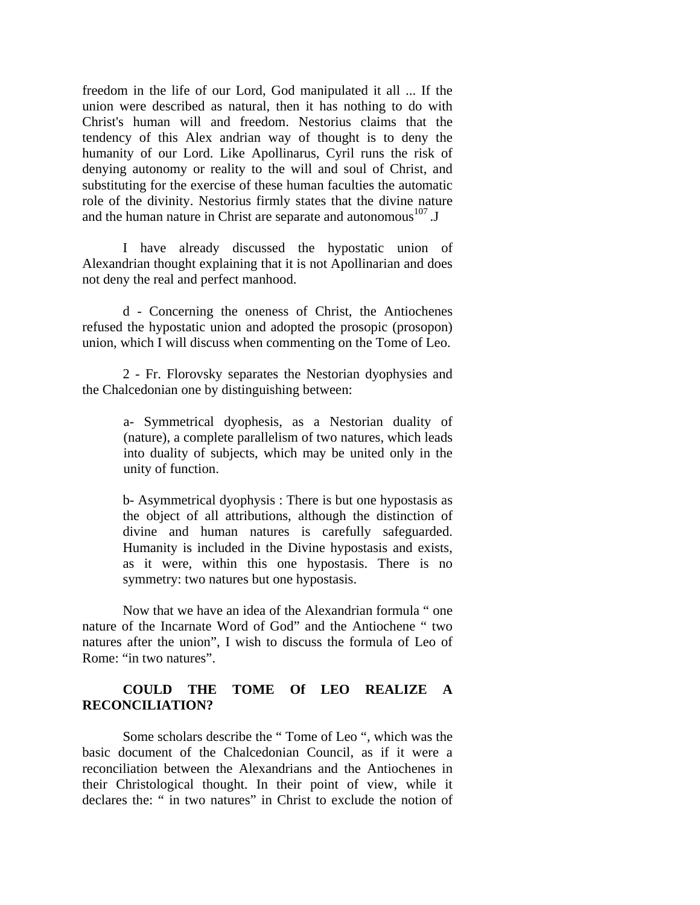freedom in the life of our Lord, God manipulated it all ... If the union were described as natural, then it has nothing to do with Christ's human will and freedom. Nestorius claims that the tendency of this Alex andrian way of thought is to deny the humanity of our Lord. Like Apollinarus, Cyril runs the risk of denying autonomy or reality to the will and soul of Christ, and substituting for the exercise of these human faculties the automatic role of the divinity. Nestorius firmly states that the divine nature and the human nature in Christ are separate and autonomous $^{107}$ . J

I have already discussed the hypostatic union of Alexandrian thought explaining that it is not Apollinarian and does not deny the real and perfect manhood.

d - Concerning the oneness of Christ, the Antiochenes refused the hypostatic union and adopted the prosopic (prosopon) union, which I will discuss when commenting on the Tome of Leo.

2 - Fr. Florovsky separates the Nestorian dyophysies and the Chalcedonian one by distinguishing between:

> a- Symmetrical dyophesis, as a Nestorian duality of (nature), a complete parallelism of two natures, which leads into duality of subjects, which may be united only in the unity of function.

> b- Asymmetrical dyophysis : There is but one hypostasis as the object of all attributions, although the distinction of divine and human natures is carefully safeguarded. Humanity is included in the Divine hypostasis and exists, as it were, within this one hypostasis. There is no symmetry: two natures but one hypostasis.

Now that we have an idea of the Alexandrian formula " one nature of the Incarnate Word of God" and the Antiochene " two natures after the union", I wish to discuss the formula of Leo of Rome: "in two natures".

## **COULD THE TOME Of LEO REALIZE A RECONCILIATION?**

Some scholars describe the " Tome of Leo ", which was the basic document of the Chalcedonian Council, as if it were a reconciliation between the Alexandrians and the Antiochenes in their Christological thought. In their point of view, while it declares the: " in two natures" in Christ to exclude the notion of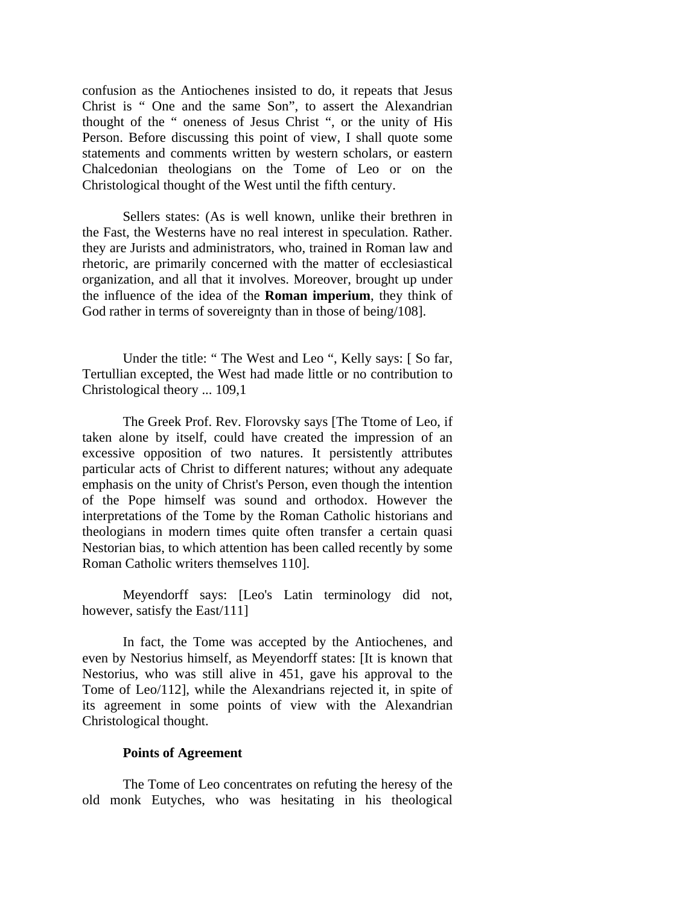confusion as the Antiochenes insisted to do, it repeats that Jesus Christ is " One and the same Son", to assert the Alexandrian thought of the " oneness of Jesus Christ ", or the unity of His Person. Before discussing this point of view, I shall quote some statements and comments written by western scholars, or eastern Chalcedonian theologians on the Tome of Leo or on the Christological thought of the West until the fifth century.

Sellers states: (As is well known, unlike their brethren in the Fast, the Westerns have no real interest in speculation. Rather. they are Jurists and administrators, who, trained in Roman law and rhetoric, are primarily concerned with the matter of ecclesiastical organization, and all that it involves. Moreover, brought up under the influence of the idea of the **Roman imperium**, they think of God rather in terms of sovereignty than in those of being/108].

Under the title: " The West and Leo ", Kelly says: [ So far, Tertullian excepted, the West had made little or no contribution to Christological theory ... 109,1

The Greek Prof. Rev. Florovsky says [The Ttome of Leo, if taken alone by itself, could have created the impression of an excessive opposition of two natures. It persistently attributes particular acts of Christ to different natures; without any adequate emphasis on the unity of Christ's Person, even though the intention of the Pope himself was sound and orthodox. However the interpretations of the Tome by the Roman Catholic historians and theologians in modern times quite often transfer a certain quasi Nestorian bias, to which attention has been called recently by some Roman Catholic writers themselves 110].

Meyendorff says: [Leo's Latin terminology did not, however, satisfy the East/111]

In fact, the Tome was accepted by the Antiochenes, and even by Nestorius himself, as Meyendorff states: [It is known that Nestorius, who was still alive in 451, gave his approval to the Tome of Leo/112], while the Alexandrians rejected it, in spite of its agreement in some points of view with the Alexandrian Christological thought.

#### **Points of Agreement**

The Tome of Leo concentrates on refuting the heresy of the old monk Eutyches, who was hesitating in his theological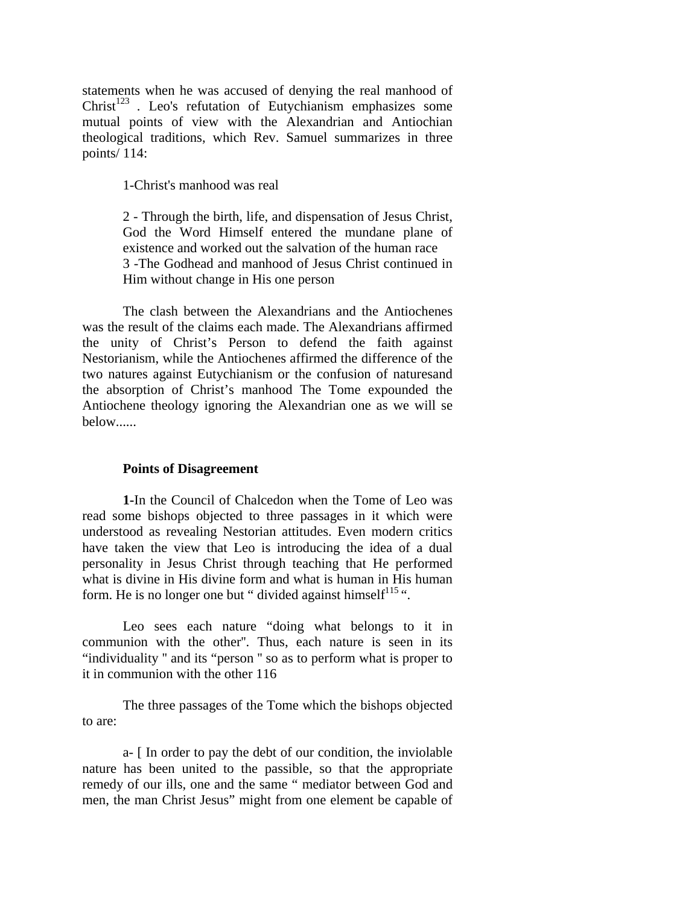statements when he was accused of denying the real manhood of  $Christ<sup>123</sup>$ . Leo's refutation of Eutychianism emphasizes some mutual points of view with the Alexandrian and Antiochian theological traditions, which Rev. Samuel summarizes in three points/ 114:

1-Christ's manhood was real

2 - Through the birth, life, and dispensation of Jesus Christ, God the Word Himself entered the mundane plane of existence and worked out the salvation of the human race 3 -The Godhead and manhood of Jesus Christ continued in Him without change in His one person

The clash between the Alexandrians and the Antiochenes was the result of the claims each made. The Alexandrians affirmed the unity of Christ's Person to defend the faith against Nestorianism, while the Antiochenes affirmed the difference of the two natures against Eutychianism or the confusion of naturesand the absorption of Christ's manhood The Tome expounded the Antiochene theology ignoring the Alexandrian one as we will se below......

#### **Points of Disagreement**

**1-**In the Council of Chalcedon when the Tome of Leo was read some bishops objected to three passages in it which were understood as revealing Nestorian attitudes. Even modern critics have taken the view that Leo is introducing the idea of a dual personality in Jesus Christ through teaching that He performed what is divine in His divine form and what is human in His human form. He is no longer one but " divided against himself $115$ ".

Leo sees each nature "doing what belongs to it in communion with the other''. Thus, each nature is seen in its "individuality '' and its "person '' so as to perform what is proper to it in communion with the other 116

The three passages of the Tome which the bishops objected to are:

a- [ In order to pay the debt of our condition, the inviolable nature has been united to the passible, so that the appropriate remedy of our ills, one and the same " mediator between God and men, the man Christ Jesus" might from one element be capable of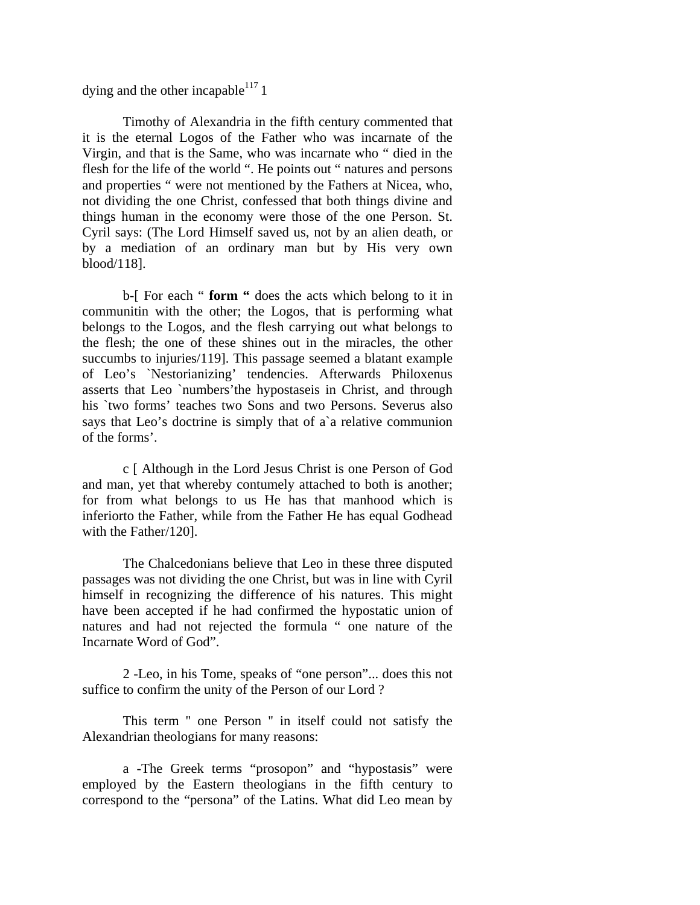dying and the other incapable<sup>117</sup> 1

Timothy of Alexandria in the fifth century commented that it is the eternal Logos of the Father who was incarnate of the Virgin, and that is the Same, who was incarnate who " died in the flesh for the life of the world ". He points out " natures and persons and properties " were not mentioned by the Fathers at Nicea, who, not dividing the one Christ, confessed that both things divine and things human in the economy were those of the one Person. St. Cyril says: (The Lord Himself saved us, not by an alien death, or by a mediation of an ordinary man but by His very own blood/118].

b-[ For each " **form "** does the acts which belong to it in communitin with the other; the Logos, that is performing what belongs to the Logos, and the flesh carrying out what belongs to the flesh; the one of these shines out in the miracles, the other succumbs to injuries/119. This passage seemed a blatant example of Leo's `Nestorianizing' tendencies. Afterwards Philoxenus asserts that Leo `numbers'the hypostaseis in Christ, and through his `two forms' teaches two Sons and two Persons. Severus also says that Leo's doctrine is simply that of a`a relative communion of the forms'.

c [ Although in the Lord Jesus Christ is one Person of God and man, yet that whereby contumely attached to both is another; for from what belongs to us He has that manhood which is inferiorto the Father, while from the Father He has equal Godhead with the Father/120].

The Chalcedonians believe that Leo in these three disputed passages was not dividing the one Christ, but was in line with Cyril himself in recognizing the difference of his natures. This might have been accepted if he had confirmed the hypostatic union of natures and had not rejected the formula " one nature of the Incarnate Word of God".

2 -Leo, in his Tome, speaks of "one person"... does this not suffice to confirm the unity of the Person of our Lord ?

This term '' one Person '' in itself could not satisfy the Alexandrian theologians for many reasons:

a -The Greek terms "prosopon" and "hypostasis" were employed by the Eastern theologians in the fifth century to correspond to the "persona" of the Latins. What did Leo mean by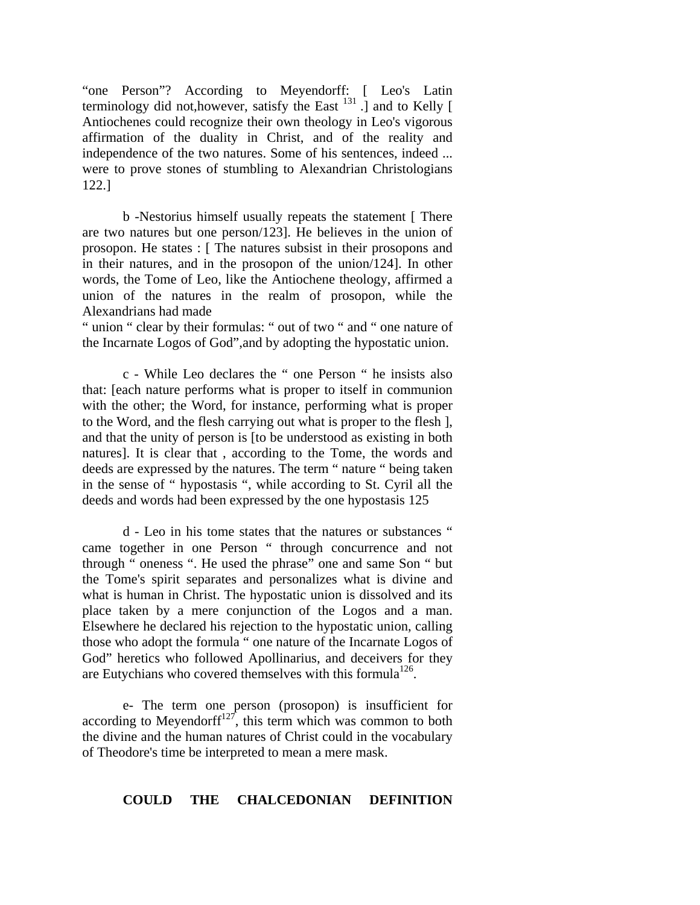"one Person"? According to Meyendorff: [ Leo's Latin terminology did not, however, satisfy the East  $^{131}$ . and to Kelly [ Antiochenes could recognize their own theology in Leo's vigorous affirmation of the duality in Christ, and of the reality and independence of the two natures. Some of his sentences, indeed ... were to prove stones of stumbling to Alexandrian Christologians 122.]

b -Nestorius himself usually repeats the statement [ There are two natures but one person/123]. He believes in the union of prosopon. He states : [ The natures subsist in their prosopons and in their natures, and in the prosopon of the union/124]. In other words, the Tome of Leo, like the Antiochene theology, affirmed a union of the natures in the realm of prosopon, while the Alexandrians had made

" union " clear by their formulas: " out of two " and " one nature of the Incarnate Logos of God",and by adopting the hypostatic union.

c - While Leo declares the " one Person " he insists also that: [each nature performs what is proper to itself in communion with the other; the Word, for instance, performing what is proper to the Word, and the flesh carrying out what is proper to the flesh ], and that the unity of person is [to be understood as existing in both natures]. It is clear that , according to the Tome, the words and deeds are expressed by the natures. The term " nature " being taken in the sense of " hypostasis ", while according to St. Cyril all the deeds and words had been expressed by the one hypostasis 125

d - Leo in his tome states that the natures or substances " came together in one Person " through concurrence and not through " oneness ". He used the phrase" one and same Son " but the Tome's spirit separates and personalizes what is divine and what is human in Christ. The hypostatic union is dissolved and its place taken by a mere conjunction of the Logos and a man. Elsewhere he declared his rejection to the hypostatic union, calling those who adopt the formula " one nature of the Incarnate Logos of God" heretics who followed Apollinarius, and deceivers for they are Eutychians who covered themselves with this formula<sup>126</sup>.

e- The term one person (prosopon) is insufficient for according to Meyendorff<sup>127</sup>, this term which was common to both the divine and the human natures of Christ could in the vocabulary of Theodore's time be interpreted to mean a mere mask.

#### **COULD THE CHALCEDONIAN DEFINITION**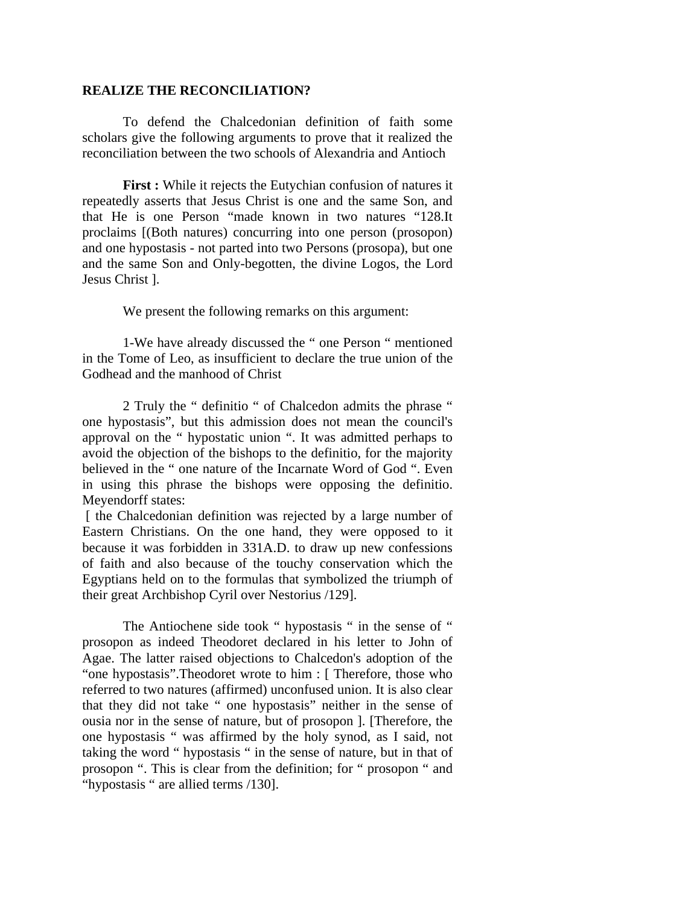## **REALIZE THE RECONCILIATION?**

To defend the Chalcedonian definition of faith some scholars give the following arguments to prove that it realized the reconciliation between the two schools of Alexandria and Antioch

**First :** While it rejects the Eutychian confusion of natures it repeatedly asserts that Jesus Christ is one and the same Son, and that He is one Person "made known in two natures "128.It proclaims [(Both natures) concurring into one person (prosopon) and one hypostasis - not parted into two Persons (prosopa), but one and the same Son and Only-begotten, the divine Logos, the Lord Jesus Christ ].

We present the following remarks on this argument:

1-We have already discussed the " one Person " mentioned in the Tome of Leo, as insufficient to declare the true union of the Godhead and the manhood of Christ

2 Truly the " definitio " of Chalcedon admits the phrase " one hypostasis", but this admission does not mean the council's approval on the " hypostatic union ". It was admitted perhaps to avoid the objection of the bishops to the definitio, for the majority believed in the " one nature of the Incarnate Word of God ". Even in using this phrase the bishops were opposing the definitio. Meyendorff states:

 [ the Chalcedonian definition was rejected by a large number of Eastern Christians. On the one hand, they were opposed to it because it was forbidden in 331A.D. to draw up new confessions of faith and also because of the touchy conservation which the Egyptians held on to the formulas that symbolized the triumph of their great Archbishop Cyril over Nestorius /129].

The Antiochene side took " hypostasis " in the sense of " prosopon as indeed Theodoret declared in his letter to John of Agae. The latter raised objections to Chalcedon's adoption of the "one hypostasis".Theodoret wrote to him : [ Therefore, those who referred to two natures (affirmed) unconfused union. It is also clear that they did not take " one hypostasis" neither in the sense of ousia nor in the sense of nature, but of prosopon ]. [Therefore, the one hypostasis " was affirmed by the holy synod, as I said, not taking the word " hypostasis " in the sense of nature, but in that of prosopon ". This is clear from the definition; for " prosopon " and "hypostasis " are allied terms /130].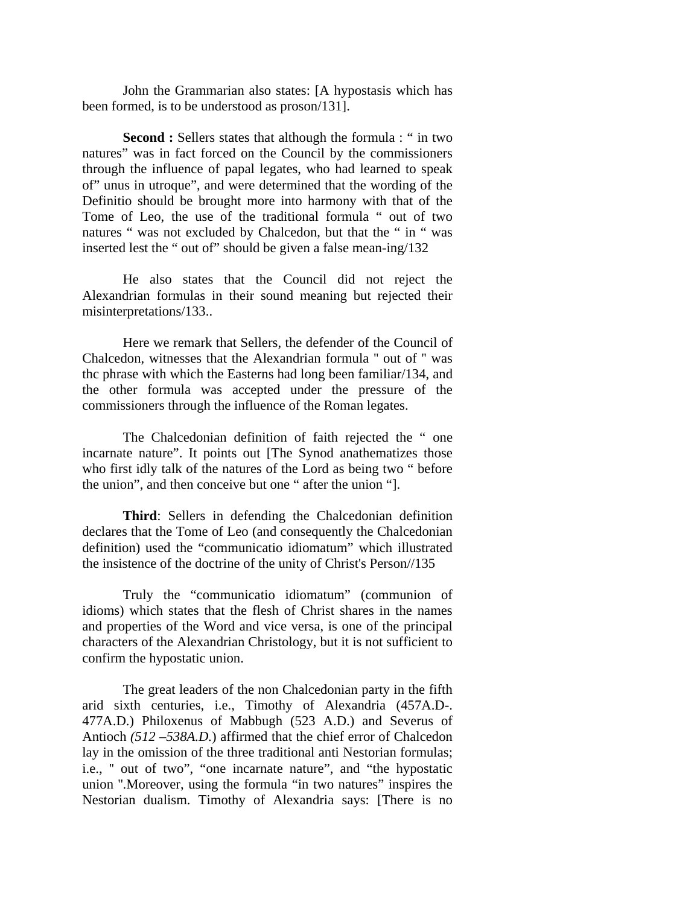John the Grammarian also states: [A hypostasis which has been formed, is to be understood as proson/131].

**Second :** Sellers states that although the formula : " in two natures" was in fact forced on the Council by the commissioners through the influence of papal legates, who had learned to speak of" unus in utroque", and were determined that the wording of the Definitio should be brought more into harmony with that of the Tome of Leo, the use of the traditional formula " out of two natures " was not excluded by Chalcedon, but that the " in " was inserted lest the " out of" should be given a false mean-ing/132

He also states that the Council did not reject the Alexandrian formulas in their sound meaning but rejected their misinterpretations/133..

Here we remark that Sellers, the defender of the Council of Chalcedon, witnesses that the Alexandrian formula '' out of '' was thc phrase with which the Easterns had long been familiar/134, and the other formula was accepted under the pressure of the commissioners through the influence of the Roman legates.

The Chalcedonian definition of faith rejected the " one incarnate nature". It points out [The Synod anathematizes those who first idly talk of the natures of the Lord as being two " before the union", and then conceive but one " after the union "].

**Third**: Sellers in defending the Chalcedonian definition declares that the Tome of Leo (and consequently the Chalcedonian definition) used the "communicatio idiomatum" which illustrated the insistence of the doctrine of the unity of Christ's Person//135

Truly the "communicatio idiomatum" (communion of idioms) which states that the flesh of Christ shares in the names and properties of the Word and vice versa, is one of the principal characters of the Alexandrian Christology, but it is not sufficient to confirm the hypostatic union.

The great leaders of the non Chalcedonian party in the fifth arid sixth centuries, i.e., Timothy of Alexandria (457A.D-. 477A.D.) Philoxenus of Mabbugh (523 A.D.) and Severus of Antioch *(512 –538A.D.*) affirmed that the chief error of Chalcedon lay in the omission of the three traditional anti Nestorian formulas; i.e., '' out of two", "one incarnate nature", and "the hypostatic union ''.Moreover, using the formula "in two natures" inspires the Nestorian dualism. Timothy of Alexandria says: [There is no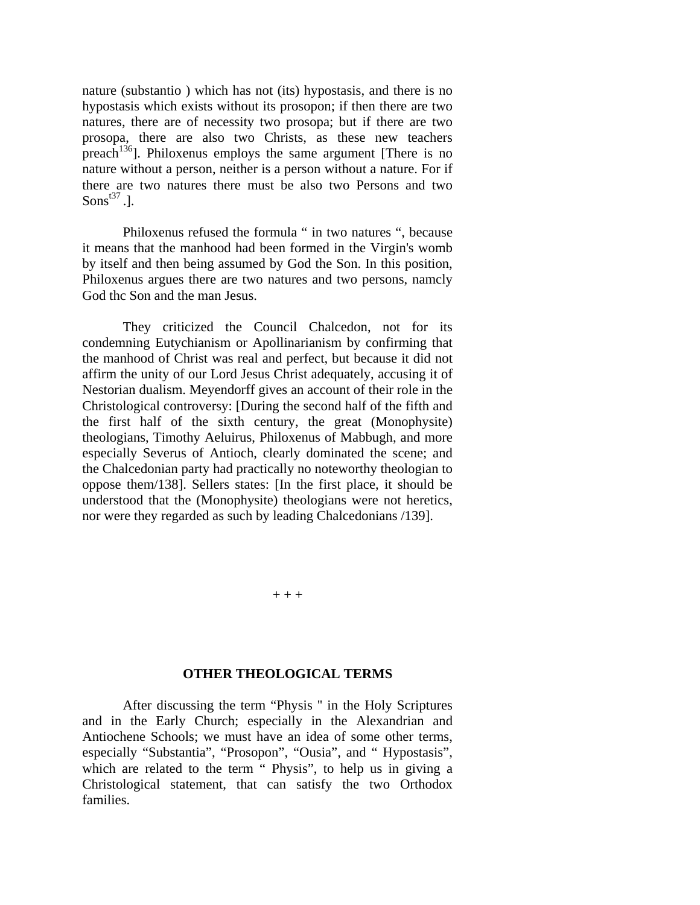nature (substantio ) which has not (its) hypostasis, and there is no hypostasis which exists without its prosopon; if then there are two natures, there are of necessity two prosopa; but if there are two prosopa, there are also two Christs, as these new teachers preach<sup>136</sup>]. Philoxenus employs the same argument [There is no nature without a person, neither is a person without a nature. For if there are two natures there must be also two Persons and two Sons $^{t37}$ .].

Philoxenus refused the formula " in two natures ", because it means that the manhood had been formed in the Virgin's womb by itself and then being assumed by God the Son. In this position, Philoxenus argues there are two natures and two persons, namcly God thc Son and the man Jesus.

They criticized the Council Chalcedon, not for its condemning Eutychianism or Apollinarianism by confirming that the manhood of Christ was real and perfect, but because it did not affirm the unity of our Lord Jesus Christ adequately, accusing it of Nestorian dualism. Meyendorff gives an account of their role in the Christological controversy: [During the second half of the fifth and the first half of the sixth century, the great (Monophysite) theologians, Timothy Aeluirus, Philoxenus of Mabbugh, and more especially Severus of Antioch, clearly dominated the scene; and the Chalcedonian party had practically no noteworthy theologian to oppose them/138]. Sellers states: [In the first place, it should be understood that the (Monophysite) theologians were not heretics, nor were they regarded as such by leading Chalcedonians /139].

 $+ + +$ 

#### **OTHER THEOLOGICAL TERMS**

After discussing the term "Physis '' in the Holy Scriptures and in the Early Church; especially in the Alexandrian and Antiochene Schools; we must have an idea of some other terms, especially "Substantia", "Prosopon", "Ousia", and " Hypostasis", which are related to the term " Physis", to help us in giving a Christological statement, that can satisfy the two Orthodox families.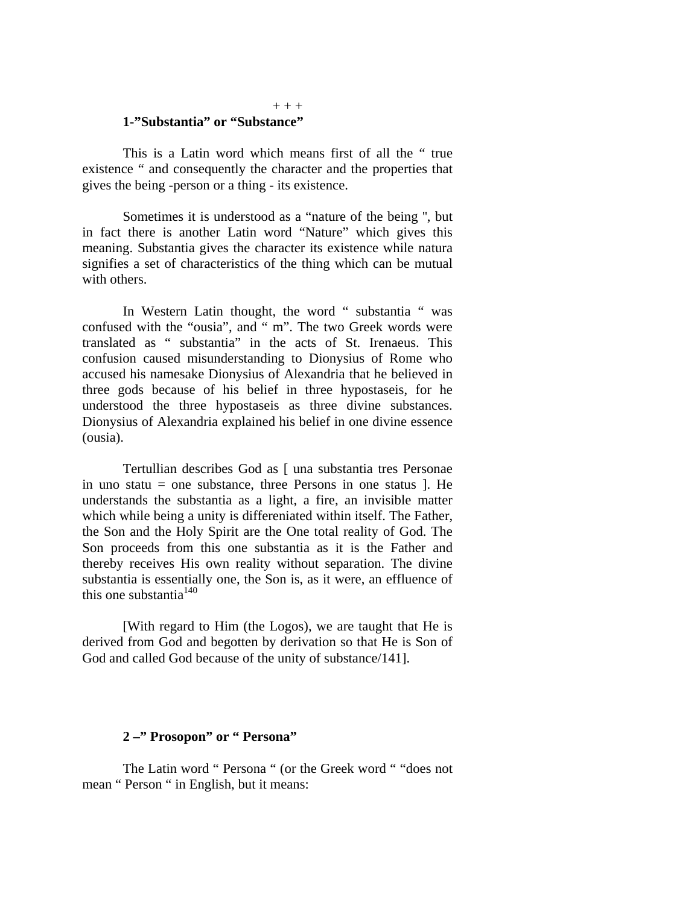# **1-"Substantia" or "Substance"**

This is a Latin word which means first of all the " true existence " and consequently the character and the properties that gives the being -person or a thing - its existence.

Sometimes it is understood as a "nature of the being '', but in fact there is another Latin word "Nature" which gives this meaning. Substantia gives the character its existence while natura signifies a set of characteristics of the thing which can be mutual with others.

In Western Latin thought, the word " substantia " was confused with the "ousia", and " m". The two Greek words were translated as " substantia" in the acts of St. Irenaeus. This confusion caused misunderstanding to Dionysius of Rome who accused his namesake Dionysius of Alexandria that he believed in three gods because of his belief in three hypostaseis, for he understood the three hypostaseis as three divine substances. Dionysius of Alexandria explained his belief in one divine essence (ousia).

Tertullian describes God as [ una substantia tres Personae in uno statu  $=$  one substance, three Persons in one status  $\vert$ . He understands the substantia as a light, a fire, an invisible matter which while being a unity is differeniated within itself. The Father, the Son and the Holy Spirit are the One total reality of God. The Son proceeds from this one substantia as it is the Father and thereby receives His own reality without separation. The divine substantia is essentially one, the Son is, as it were, an effluence of this one substantia $140$ 

[With regard to Him (the Logos), we are taught that He is derived from God and begotten by derivation so that He is Son of God and called God because of the unity of substance/141].

#### **2 –" Prosopon" or " Persona"**

The Latin word " Persona " (or the Greek word " "does not mean " Person " in English, but it means:

#### $+ + +$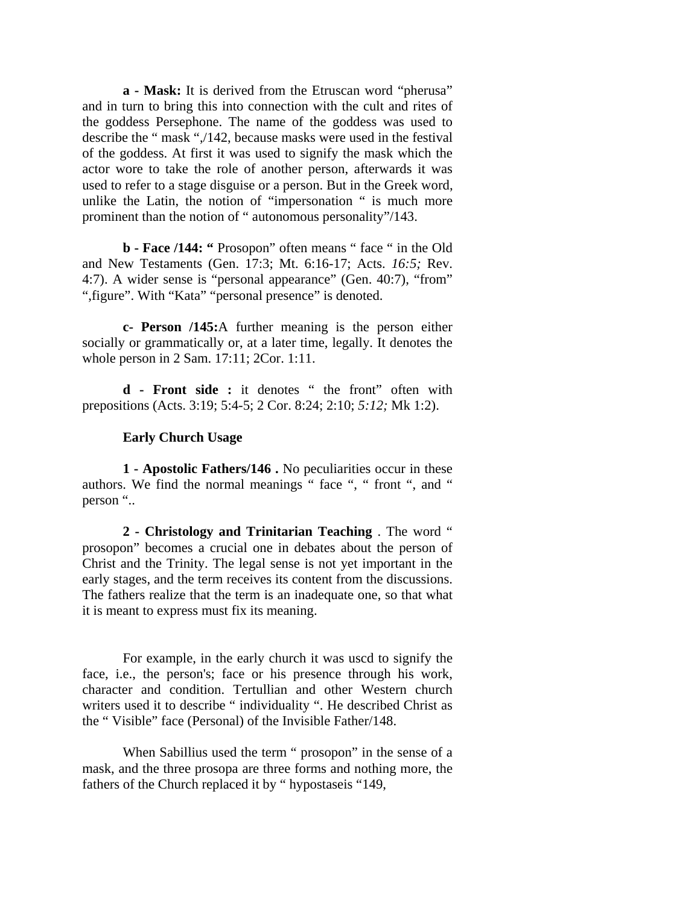**a - Mask:** It is derived from the Etruscan word "pherusa" and in turn to bring this into connection with the cult and rites of the goddess Persephone. The name of the goddess was used to describe the " mask ",/142, because masks were used in the festival of the goddess. At first it was used to signify the mask which the actor wore to take the role of another person, afterwards it was used to refer to a stage disguise or a person. But in the Greek word, unlike the Latin, the notion of "impersonation " is much more prominent than the notion of " autonomous personality"/143.

**b - Face /144: "** Prosopon" often means " face " in the Old and New Testaments (Gen. 17:3; Mt. 6:16-17; Acts. *16:5;* Rev. 4:7). A wider sense is "personal appearance" (Gen. 40:7), "from" ", figure". With "Kata" "personal presence" is denoted.

**c- Person /145:**A further meaning is the person either socially or grammatically or, at a later time, legally. It denotes the whole person in 2 Sam. 17:11; 2Cor. 1:11.

**d - Front side :** it denotes " the front" often with prepositions (Acts. 3:19; 5:4-5; 2 Cor. 8:24; 2:10; *5:12;* Mk 1:2).

#### **Early Church Usage**

**1 - Apostolic Fathers/146 .** No peculiarities occur in these authors. We find the normal meanings " face ", " front ", and " person "..

**2 - Christology and Trinitarian Teaching** . The word " prosopon" becomes a crucial one in debates about the person of Christ and the Trinity. The legal sense is not yet important in the early stages, and the term receives its content from the discussions. The fathers realize that the term is an inadequate one, so that what it is meant to express must fix its meaning.

For example, in the early church it was uscd to signify the face, i.e., the person's; face or his presence through his work, character and condition. Tertullian and other Western church writers used it to describe " individuality ". He described Christ as the " Visible" face (Personal) of the Invisible Father/148.

When Sabillius used the term " prosopon" in the sense of a mask, and the three prosopa are three forms and nothing more, the fathers of the Church replaced it by " hypostaseis "149,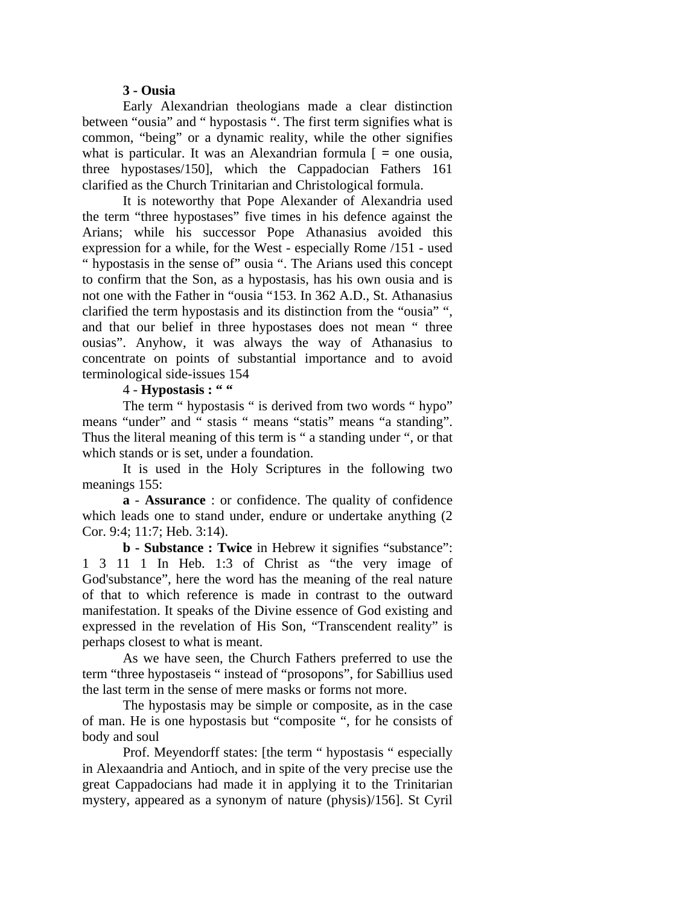### **3 - Ousia**

Early Alexandrian theologians made a clear distinction between "ousia" and " hypostasis ". The first term signifies what is common, "being" or a dynamic reality, while the other signifies what is particular. It was an Alexandrian formula [ *=* one ousia, three hypostases/150], which the Cappadocian Fathers 161 clarified as the Church Trinitarian and Christological formula.

It is noteworthy that Pope Alexander of Alexandria used the term "three hypostases" five times in his defence against the Arians; while his successor Pope Athanasius avoided this expression for a while, for the West - especially Rome /151 - used " hypostasis in the sense of" ousia ". The Arians used this concept to confirm that the Son, as a hypostasis, has his own ousia and is not one with the Father in "ousia "153. In 362 A.D., St. Athanasius clarified the term hypostasis and its distinction from the "ousia" ", and that our belief in three hypostases does not mean " three ousias". Anyhow, it was always the way of Athanasius to concentrate on points of substantial importance and to avoid terminological side-issues 154

## 4 - **Hypostasis : " "**

The term " hypostasis " is derived from two words " hypo" means "under" and " stasis " means "statis" means "a standing". Thus the literal meaning of this term is " a standing under ", or that which stands or is set, under a foundation.

It is used in the Holy Scriptures in the following two meanings 155:

**a** - **Assurance** : or confidence. The quality of confidence which leads one to stand under, endure or undertake anything  $(2)$ Cor. 9:4; 11:7; Heb. 3:14).

**b - Substance : Twice** in Hebrew it signifies "substance": 1 3 11 1 In Heb. 1:3 of Christ as "the very image of God'substance", here the word has the meaning of the real nature of that to which reference is made in contrast to the outward manifestation. It speaks of the Divine essence of God existing and expressed in the revelation of His Son, "Transcendent reality" is perhaps closest to what is meant.

As we have seen, the Church Fathers preferred to use the term "three hypostaseis " instead of "prosopons", for Sabillius used the last term in the sense of mere masks or forms not more.

The hypostasis may be simple or composite, as in the case of man. He is one hypostasis but "composite ", for he consists of body and soul

Prof. Meyendorff states: [the term " hypostasis " especially in Alexaandria and Antioch, and in spite of the very precise use the great Cappadocians had made it in applying it to the Trinitarian mystery, appeared as a synonym of nature (physis)/156]. St Cyril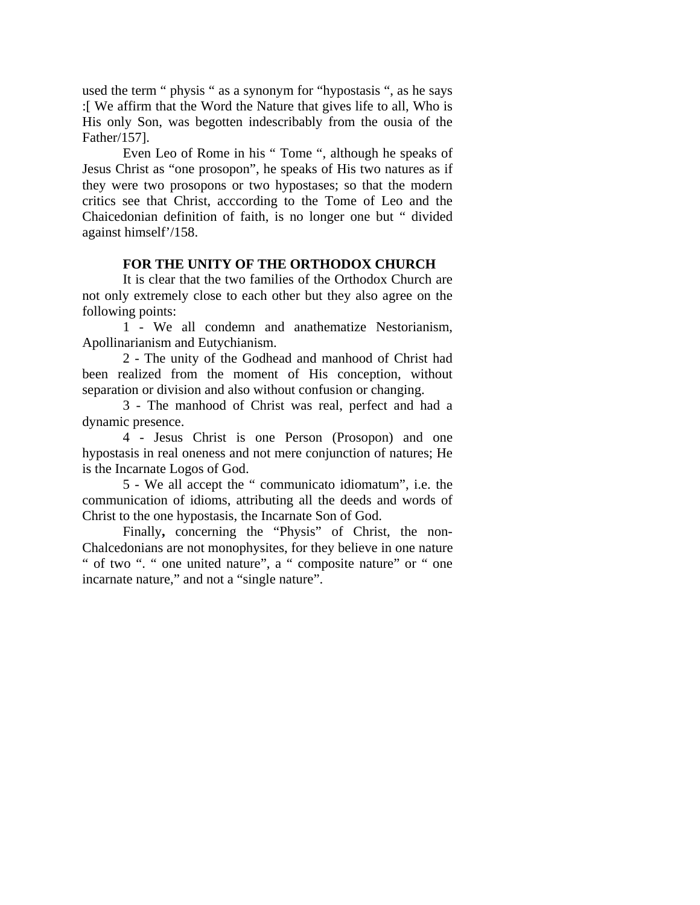used the term " physis " as a synonym for "hypostasis ", as he says :[ We affirm that the Word the Nature that gives life to all, Who is His only Son, was begotten indescribably from the ousia of the Father/157].

Even Leo of Rome in his " Tome ", although he speaks of Jesus Christ as "one prosopon", he speaks of His two natures as if they were two prosopons or two hypostases; so that the modern critics see that Christ, acccording to the Tome of Leo and the Chaicedonian definition of faith, is no longer one but " divided against himself'/158.

## **FOR THE UNITY OF THE ORTHODOX CHURCH**

It is clear that the two families of the Orthodox Church are not only extremely close to each other but they also agree on the following points:

1 - We all condemn and anathematize Nestorianism, Apollinarianism and Eutychianism.

2 - The unity of the Godhead and manhood of Christ had been realized from the moment of His conception, without separation or division and also without confusion or changing.

3 - The manhood of Christ was real, perfect and had a dynamic presence.

4 - Jesus Christ is one Person (Prosopon) and one hypostasis in real oneness and not mere conjunction of natures; He is the Incarnate Logos of God.

5 - We all accept the " communicato idiomatum", i.e. the communication of idioms, attributing all the deeds and words of Christ to the one hypostasis, the Incarnate Son of God.

Finally**,** concerning the "Physis" of Christ, the non-Chalcedonians are not monophysites, for they believe in one nature " of two ". " one united nature", a " composite nature" or " one incarnate nature," and not a "single nature".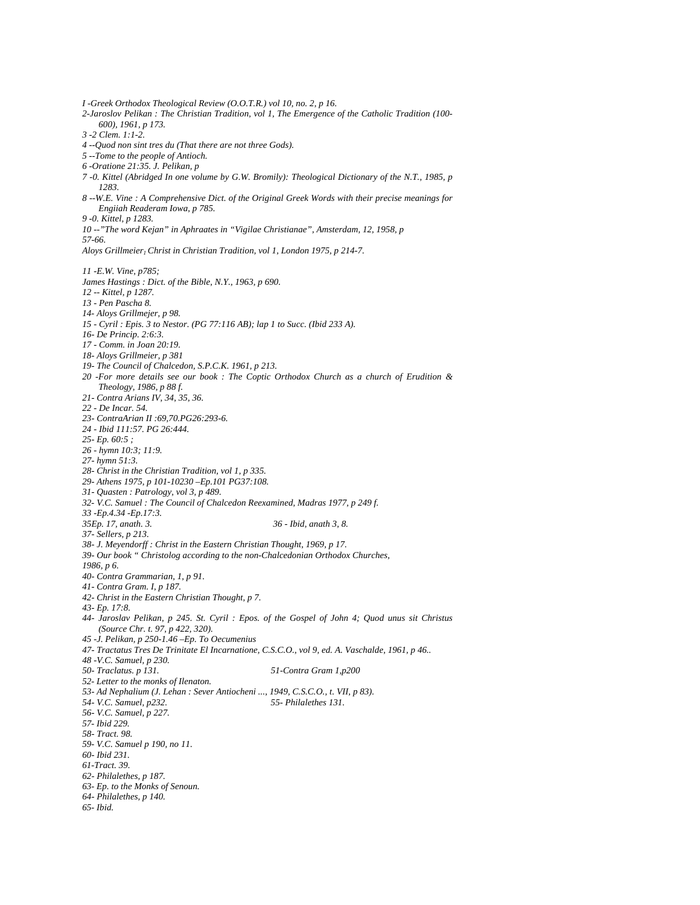*I -Greek Orthodox Theological Review (O.O.T.R.) vol 10, no. 2, p 16. 2-Jaroslov Pelikan : The Christian Tradition, vol 1, The Emergence of the Catholic Tradition (100- 600), 1961, p 173. 3 -2 Clem. 1:1-2. 4 --Quod non sint tres du (That there are not three Gods). 5 --Tome to the people of Antioch. 6 -Oratione 21:35. J. Pelikan, p 7 -0. Kittel (Abridged In one volume by G.W. Bromily): Theological Dictionary of the N.T., 1985, p 1283. 8 --W.E. Vine : A Comprehensive Dict. of the Original Greek Words with their precise meanings for Engiiah Readeram Iowa, p 785. 9 -0. Kittel, p 1283. 10 --"The word Kejan" in Aphraates in "Vigilae Christianae", Amsterdam, 12, 1958, p 57-66. Aloys Grillmeier<sub>1</sub> Christ in Christian Tradition, vol 1, London 1975, p 214-7. 11 -E.W. Vine, p785; James Hastings : Dict. of the Bible, N.Y., 1963, p 690. 12 -- Kittel, p 1287. 13 - Pen Pascha 8. 14- Aloys Grillmejer, p 98. 15 - Cyril : Epis. 3 to Nestor. (PG 77:116 AB); lap 1 to Succ. (Ibid 233 A). 16- De Princip. 2:6:3. 17 - Comm. in Joan 20:19. 18- Aloys Grillmeier, p 381 19- The Council of Chalcedon, S.P.C.K. 1961, p 213. 20 -For more details see our book : The Coptic Orthodox Church as a church of Erudition & Theology, 1986, p 88 f. 21- Contra Arians IV, 34, 35, 36. 22 - De Incar. 54. 23- ContraArian II :69,70.PG26:293-6. 24 - Ibid 111:57. PG 26:444. 25- Ep. 60:5 ; 26 - hymn 10:3; 11:9. 27- hymn 51:3. 28- Christ in the Christian Tradition, vol 1, p 335. 29- Athens 1975, p 101-10230 –Ep.101 PG37:108. 31- Quasten : Patrology, vol 3, p 489. 32- V.C. Samuel : The Council of Chalcedon Reexamined, Madras 1977, p 249 f. 33 -Ep.4.34 -Ep.17:3. 35Ep. 17, anath. 3. 36 - Ibid, anath 3, 8. 37- Sellers, p 213. 38- J. Meyendorff : Christ in the Eastern Christian Thought, 1969, p 17. 39- Our book " Christolog according to the non-Chalcedonian Orthodox Churches, 1986, p 6. 40- Contra Grammarian, 1, p 91. 41- Contra Gram. I, p 187. 42- Christ in the Eastern Christian Thought, p 7. 43- Ep. 17:8. 44- Jaroslav Pelikan, p 245. St. Cyril : Epos. of the Gospel of John 4; Quod unus sit Christus (Source Chr. t. 97, p 422, 320). 45 -J. Pelikan, p 250-1.46 –Ep. To Oecumenius 47- Tractatus Tres De Trinitate El Incarnatione, C.S.C.O., vol 9, ed. A. Vaschalde, 1961, p 46.. 48 -V.C. Samuel, p 230. 50- Traclatus. p 131. 51-Contra Gram 1,p200 52- Letter to the monks of Ilenaton. 53- Ad Nephalium (J. Lehan : Sever Antiocheni ..., 1949, C.S.C.O., t. VII, p 83). 54- V.C. Samuel, p232. 55- Philalethes 131. 56- V.C. Samuel, p 227. 57- Ibid 229. 58- Tract. 98. 59- V.C. Samuel p 190, no 11. 60- Ibid 231. 61-Tract. 39. 62- Philalethes, p 187. 63- Ep. to the Monks of Senoun. 64- Philalethes, p 140. 65- Ibid.*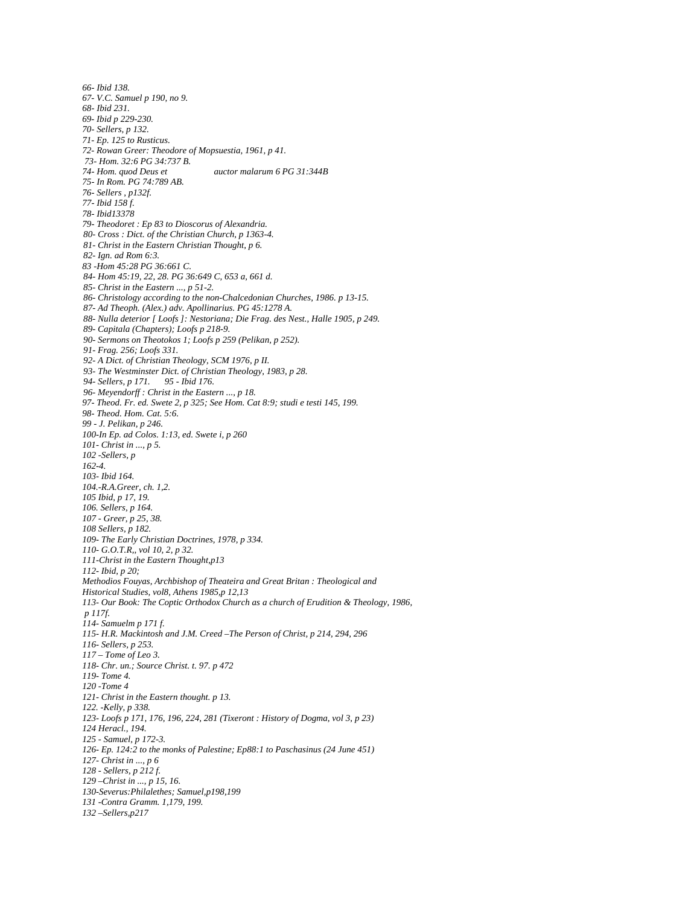*66- Ibid 138. 67- V.C. Samuel p 190, no 9. 68- Ibid 231. 69- Ibid p 229-230. 70- Sellers, p 132. 71- Ep. 125 to Rusticus. 72- Rowan Greer: Theodore of Mopsuestia, 1961, p 41. 73- Hom. 32:6 PG 34:737 B. 74- Hom. quod Deus et auctor malarum 6 PG 31:344B 75- In Rom. PG 74:789 AB. 76- Sellers , p132f. 77- Ibid 158 f. 78- Ibid13378 79- Theodoret : Ep 83 to Dioscorus of Alexandria. 80- Cross : Dict. of the Christian Church, p 1363-4. 81- Christ in the Eastern Christian Thought, p 6. 82- Ign. ad Rom 6:3. 83 -Hom 45:28 PG 36:661 C. 84- Hom 45:19, 22, 28. PG 36:649 C, 653 a, 661 d. 85- Christ in the Eastern ..., p 51-2. 86- Christology according to the non-Chalcedonian Churches, 1986. p 13-15. 87- Ad Theoph. (Alex.) adv. Apollinarius. PG 45:1278 A. 88- Nulla deterior [ Loofs ]: Nestoriana; Die Frag. des Nest., Halle 1905, p 249. 89- Capitala (Chapters); Loofs p 218-9. 90- Sermons on Theotokos 1; Loofs p 259 (Pelikan, p 252). 91- Frag. 256; Loofs 331. 92- A Dict. of Christian Theology, SCM 1976, p II. 93- The Westminster Dict. of Christian Theology, 1983, p 28. 94- Sellers, p 171. 95 - Ibid 176. 96- Meyendorff : Christ in the Eastern ..., p 18. 97- Theod. Fr. ed. Swete 2, p 325; See Hom. Cat 8:9; studi e testi 145, 199. 98- Theod. Hom. Cat. 5:6. 99 - J. Pelikan, p 246. 100-In Ep. ad Colos. 1:13, ed. Swete i, p 260 101- Christ in ..., p 5. 102 -Sellers, p 162-4. 103- Ibid 164. 104.-R.A.Greer, ch. 1,2. 105 Ibid, p 17, 19. 106. Sellers, p 164. 107 - Greer, p 25, 38. 108 SeIlers, p 182. 109- The Early Christian Doctrines, 1978, p 334. 110- G.O.T.R,, vol 10, 2, p 32. 111-Christ in the Eastern Thought,p13 112- Ibid, p 20; Methodios Fouyas, Archbishop of Theateira and Great Britan : Theological and Historical Studies, vol8, Athens 1985,p 12,13 113- Our Book: The Coptic Orthodox Church as a church of Erudition & Theology, 1986, p 117f. 114- Samuelm p 171 f. 115- H.R. Mackintosh and J.M. Creed –The Person of Christ, p 214, 294, 296 116- Sellers, p 253. 117 – Tome of Leo 3. 118- Chr. un.; Source Christ. t. 97. p 472 119- Tome 4. 120 -Tome 4 121- Christ in the Eastern thought. p 13. 122. -Kelly, p 338. 123- Loofs p 171, 176, 196, 224, 281 (Tixeront : History of Dogma, vol 3, p 23) 124 Heracl., 194. 125 - Samuel, p 172-3. 126- Ep. 124:2 to the monks of Palestine; Ep88:1 to Paschasinus (24 June 451) 127- Christ in ..., p 6 128 - Sellers, p 212 f. 129 –Christ in ..., p 15, 16. 130-Severus:Philalethes; Samuel,p198,199 131 -Contra Gramm. 1,179, 199. 132 –Sellers,p217*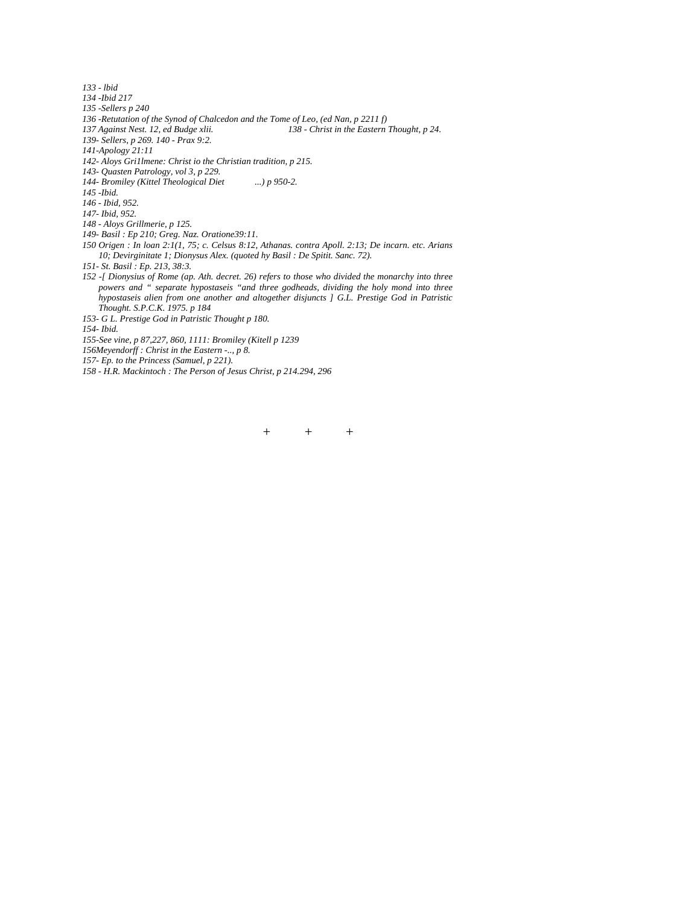*133 - lbid 134 -Ibid 217 135 -Sellers p 240 136 -Retutation of the Synod of Chalcedon and the Tome of Leo, (ed Nan, p 2211 f) 137 Against Nest. 12, ed Budge xlii. 138 - Christ in the Eastern Thought, p 24. 139- Sellers, p 269. 140 - Prax 9:2. 141-Apology 21:11 142- Aloys Gri1lmene: Christ io the Christian tradition, p 215. 143- Quasten Patrology, vol 3, p 229. 144- Bromiley (Kittel Theological Diet ...) p 950-2. 145 -Ibid. 146 - Ibid, 952. 147- Ibid, 952. 148 - Aloys Grillmerie, p 125. 149- Basil : Ep 210; Greg. Naz. Oratione39:11. 150 Origen : In loan 2:1(1, 75; c. Celsus 8:12, Athanas. contra Apoll. 2:13; De incarn. etc. Arians 10; Devirginitate 1; Dionysus Alex. (quoted hy Basil : De Spitit. Sanc. 72). 151- St. Basil : Ep. 213, 38:3. 152 -[ Dionysius of Rome (ap. Ath. decret. 26) refers to those who divided the monarchy into three powers and " separate hypostaseis "and three godheads, dividing the holy mond into three hypostaseis alien from one another and altogether disjuncts ] G.L. Prestige God in Patristic Thought. S.P.C.K. 1975. p 184 153- G L. Prestige God in Patristic Thought p 180. 154- Ibid.* 

*155-See vine, p 87,227, 860, 1111: Bromiley (Kitell p 1239* 

*156Meyendorff : Christ in the Eastern -.., p 8.* 

*157- Ep. to the Princess (Samuel, p 221).* 

*158 - H.R. Mackintoch : The Person of Jesus Christ, p 214.294, 296* 

+ + +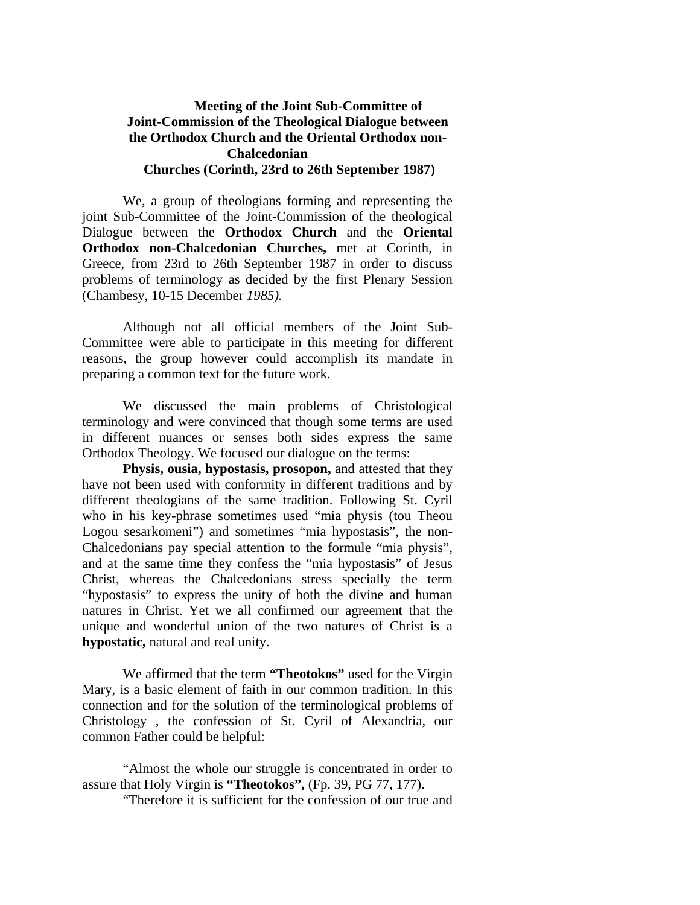## **Meeting of the Joint Sub-Committee of Joint-Commission of the Theological Dialogue between the Orthodox Church and the Oriental Orthodox non-Chalcedonian Churches (Corinth, 23rd to 26th September 1987)**

We, a group of theologians forming and representing the joint Sub-Committee of the Joint-Commission of the theological Dialogue between the **Orthodox Church** and the **Oriental Orthodox non-Chalcedonian Churches,** met at Corinth, in Greece, from 23rd to 26th September 1987 in order to discuss problems of terminology as decided by the first Plenary Session (Chambesy, 10-15 December *1985).* 

Although not all official members of the Joint Sub-Committee were able to participate in this meeting for different reasons, the group however could accomplish its mandate in preparing a common text for the future work.

We discussed the main problems of Christological terminology and were convinced that though some terms are used in different nuances or senses both sides express the same Orthodox Theology. We focused our dialogue on the terms:

**Physis, ousia, hypostasis, prosopon,** and attested that they have not been used with conformity in different traditions and by different theologians of the same tradition. Following St. Cyril who in his key-phrase sometimes used "mia physis (tou Theou Logou sesarkomeni") and sometimes "mia hypostasis", the non-Chalcedonians pay special attention to the formule "mia physis", and at the same time they confess the "mia hypostasis" of Jesus Christ, whereas the Chalcedonians stress specially the term "hypostasis" to express the unity of both the divine and human natures in Christ. Yet we all confirmed our agreement that the unique and wonderful union of the two natures of Christ is a **hypostatic,** natural and real unity.

We affirmed that the term **"Theotokos"** used for the Virgin Mary, is a basic element of faith in our common tradition. In this connection and for the solution of the terminological problems of Christology , the confession of St. Cyril of Alexandria, our common Father could be helpful:

"Almost the whole our struggle is concentrated in order to assure that Holy Virgin is **"Theotokos",** (Fp. 39, PG 77, 177).

"Therefore it is sufficient for the confession of our true and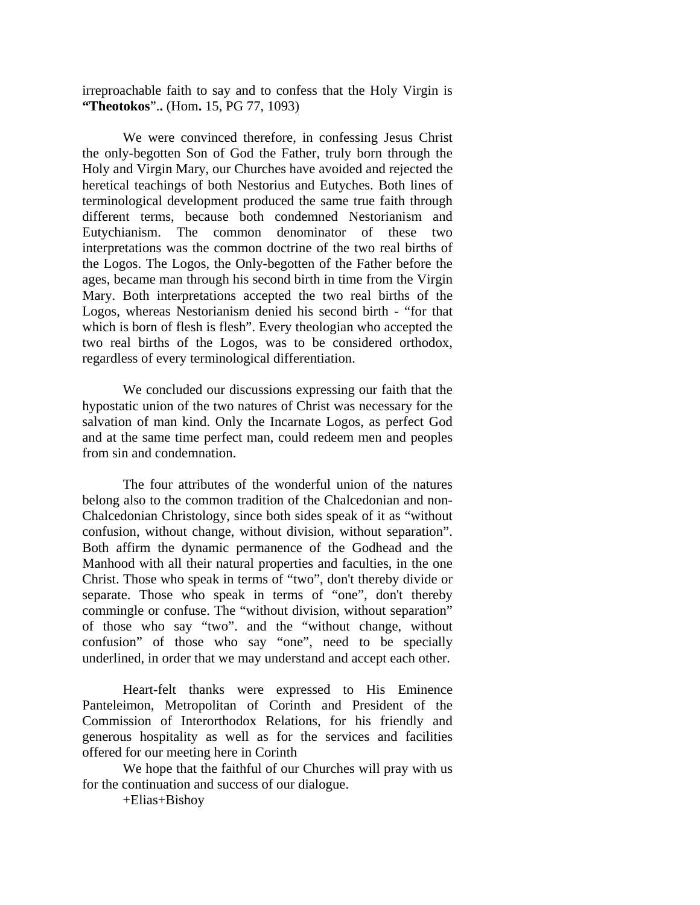irreproachable faith to say and to confess that the Holy Virgin is **"Theotokos**".**.** (Hom**.** 15, PG 77, 1093)

We were convinced therefore, in confessing Jesus Christ the only-begotten Son of God the Father, truly born through the Holy and Virgin Mary, our Churches have avoided and rejected the heretical teachings of both Nestorius and Eutyches. Both lines of terminological development produced the same true faith through different terms, because both condemned Nestorianism and Eutychianism. The common denominator of these two interpretations was the common doctrine of the two real births of the Logos. The Logos, the Only-begotten of the Father before the ages, became man through his second birth in time from the Virgin Mary. Both interpretations accepted the two real births of the Logos, whereas Nestorianism denied his second birth - "for that which is born of flesh is flesh". Every theologian who accepted the two real births of the Logos, was to be considered orthodox, regardless of every terminological differentiation.

We concluded our discussions expressing our faith that the hypostatic union of the two natures of Christ was necessary for the salvation of man kind. Only the Incarnate Logos, as perfect God and at the same time perfect man, could redeem men and peoples from sin and condemnation.

The four attributes of the wonderful union of the natures belong also to the common tradition of the Chalcedonian and non-Chalcedonian Christology, since both sides speak of it as "without confusion, without change, without division, without separation". Both affirm the dynamic permanence of the Godhead and the Manhood with all their natural properties and faculties, in the one Christ. Those who speak in terms of "two", don't thereby divide or separate. Those who speak in terms of "one", don't thereby commingle or confuse. The "without division, without separation" of those who say "two". and the "without change, without confusion" of those who say "one", need to be specially underlined, in order that we may understand and accept each other.

Heart-felt thanks were expressed to His Eminence Panteleimon, Metropolitan of Corinth and President of the Commission of Interorthodox Relations, for his friendly and generous hospitality as well as for the services and facilities offered for our meeting here in Corinth

We hope that the faithful of our Churches will pray with us for the continuation and success of our dialogue.

+Elias+Bishoy